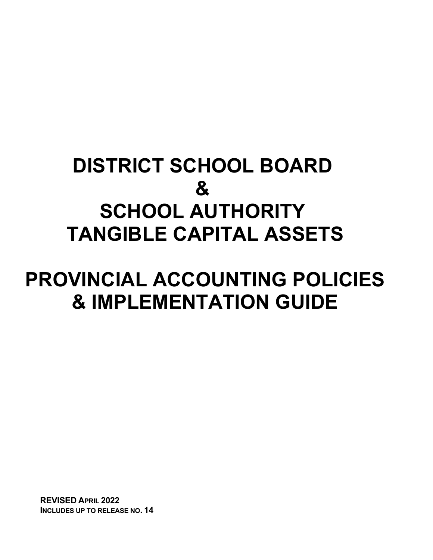# **DISTRICT SCHOOL BOARD & SCHOOL AUTHORITY TANGIBLE CAPITAL ASSETS**

# **PROVINCIAL ACCOUNTING POLICIES & IMPLEMENTATION GUIDE**

**REVISED APRIL 2022 INCLUDES UP TO RELEASE NO. 14**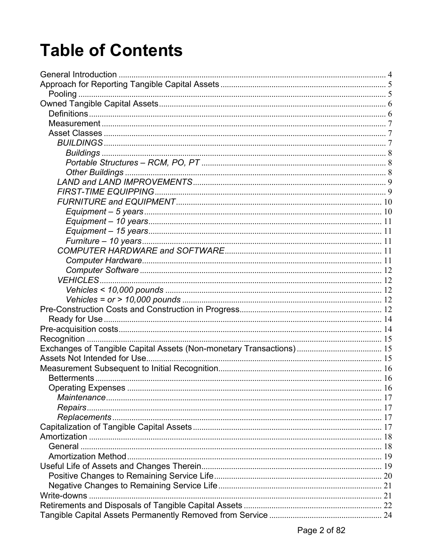# **Table of Contents**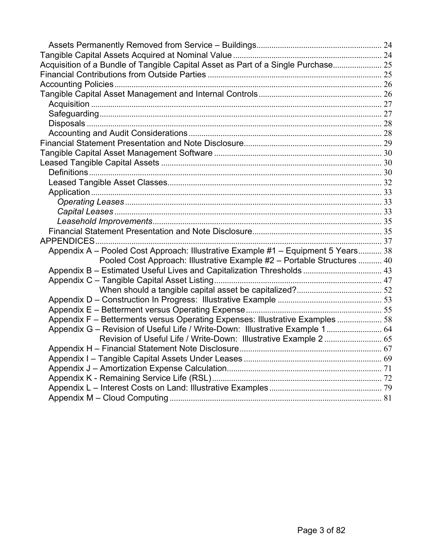| Acquisition of a Bundle of Tangible Capital Asset as Part of a Single Purchase 25 |  |
|-----------------------------------------------------------------------------------|--|
|                                                                                   |  |
|                                                                                   |  |
|                                                                                   |  |
|                                                                                   |  |
|                                                                                   |  |
|                                                                                   |  |
|                                                                                   |  |
|                                                                                   |  |
|                                                                                   |  |
|                                                                                   |  |
|                                                                                   |  |
|                                                                                   |  |
|                                                                                   |  |
|                                                                                   |  |
|                                                                                   |  |
|                                                                                   |  |
|                                                                                   |  |
|                                                                                   |  |
| Appendix A - Pooled Cost Approach: Illustrative Example #1 - Equipment 5 Years 38 |  |
| Pooled Cost Approach: Illustrative Example #2 - Portable Structures  40           |  |
| Appendix B - Estimated Useful Lives and Capitalization Thresholds  43             |  |
|                                                                                   |  |
|                                                                                   |  |
|                                                                                   |  |
|                                                                                   |  |
| Appendix F - Betterments versus Operating Expenses: Illustrative Examples  58     |  |
| Appendix G - Revision of Useful Life / Write-Down: Illustrative Example 1 64      |  |
| Revision of Useful Life / Write-Down: Illustrative Example 2  65                  |  |
|                                                                                   |  |
|                                                                                   |  |
|                                                                                   |  |
|                                                                                   |  |
|                                                                                   |  |
|                                                                                   |  |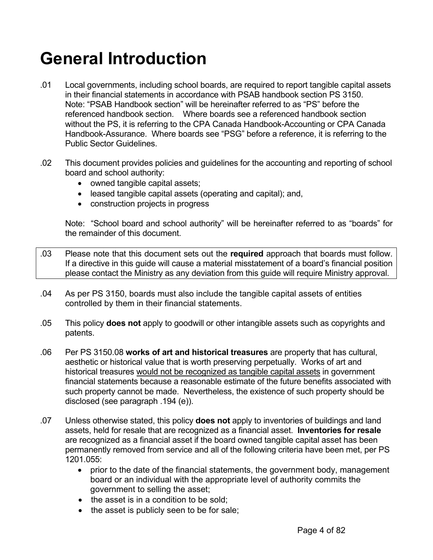# <span id="page-3-0"></span>**General Introduction**

- .01 Local governments, including school boards, are required to report tangible capital assets in their financial statements in accordance with PSAB handbook section PS 3150. Note: "PSAB Handbook section" will be hereinafter referred to as "PS" before the referenced handbook section. Where boards see a referenced handbook section without the PS, it is referring to the CPA Canada Handbook-Accounting or CPA Canada Handbook-Assurance. Where boards see "PSG" before a reference, it is referring to the Public Sector Guidelines.
- .02 This document provides policies and guidelines for the accounting and reporting of school board and school authority:
	- owned tangible capital assets;
	- leased tangible capital assets (operating and capital); and,
	- construction projects in progress

Note: "School board and school authority" will be hereinafter referred to as "boards" for the remainder of this document.

- .03 Please note that this document sets out the **required** approach that boards must follow. If a directive in this guide will cause a material misstatement of a board's financial position please contact the Ministry as any deviation from this guide will require Ministry approval.
- .04 As per PS 3150, boards must also include the tangible capital assets of entities controlled by them in their financial statements.
- .05 This policy **does not** apply to goodwill or other intangible assets such as copyrights and patents.
- .06 Per PS 3150.08 **works of art and historical treasures** are property that has cultural, aesthetic or historical value that is worth preserving perpetually. Works of art and historical treasures would not be recognized as tangible capital assets in government financial statements because a reasonable estimate of the future benefits associated with such property cannot be made. Nevertheless, the existence of such property should be disclosed (see paragraph .194 (e)).
- .07 Unless otherwise stated, this policy **does not** apply to inventories of buildings and land assets, held for resale that are recognized as a financial asset. **Inventories for resale** are recognized as a financial asset if the board owned tangible capital asset has been permanently removed from service and all of the following criteria have been met, per PS 1201.055:
	- prior to the date of the financial statements, the government body, management board or an individual with the appropriate level of authority commits the government to selling the asset;
	- the asset is in a condition to be sold:
	- the asset is publicly seen to be for sale;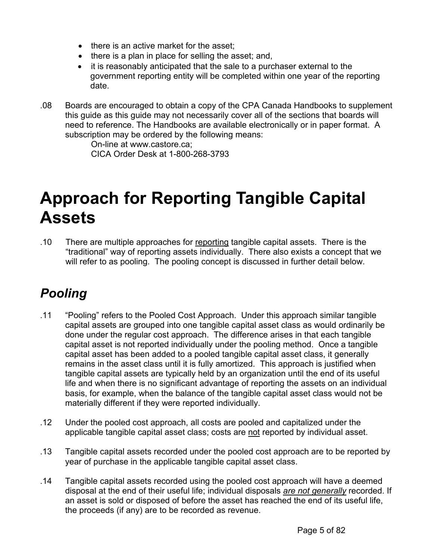- <span id="page-4-0"></span>• there is an active market for the asset;
- there is a plan in place for selling the asset; and,
- it is reasonably anticipated that the sale to a purchaser external to the government reporting entity will be completed within one year of the reporting date.
- .08 Boards are encouraged to obtain a copy of the CPA Canada Handbooks to supplement this guide as this guide may not necessarily cover all of the sections that boards will need to reference. The Handbooks are available electronically or in paper format. A subscription may be ordered by the following means:

 On-line at [www.castore.ca;](http://www.castore.ca) CICA Order Desk at 1-800-268-3793

# **Approach for Reporting Tangible Capital Assets**

.10 There are multiple approaches for reporting tangible capital assets. There is the "traditional" way of reporting assets individually. There also exists a concept that we will refer to as pooling. The pooling concept is discussed in further detail below.

## *Pooling*

- .11 "Pooling" refers to the Pooled Cost Approach. Under this approach similar tangible capital assets are grouped into one tangible capital asset class as would ordinarily be done under the regular cost approach. The difference arises in that each tangible capital asset is not reported individually under the pooling method. Once a tangible capital asset has been added to a pooled tangible capital asset class, it generally remains in the asset class until it is fully amortized. This approach is justified when tangible capital assets are typically held by an organization until the end of its useful life and when there is no significant advantage of reporting the assets on an individual basis, for example, when the balance of the tangible capital asset class would not be materially different if they were reported individually.
- .12 Under the pooled cost approach, all costs are pooled and capitalized under the applicable tangible capital asset class; costs are not reported by individual asset.
- .13 Tangible capital assets recorded under the pooled cost approach are to be reported by year of purchase in the applicable tangible capital asset class.
- .14 Tangible capital assets recorded using the pooled cost approach will have a deemed disposal at the end of their useful life; individual disposals *are not generally* recorded. If an asset is sold or disposed of before the asset has reached the end of its useful life, the proceeds (if any) are to be recorded as revenue.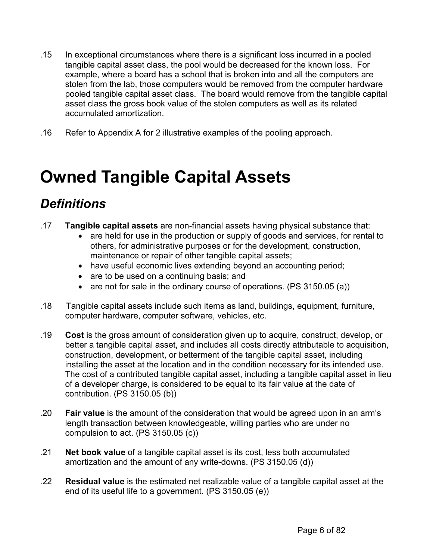- <span id="page-5-0"></span>.15 In exceptional circumstances where there is a significant loss incurred in a pooled tangible capital asset class, the pool would be decreased for the known loss. For example, where a board has a school that is broken into and all the computers are stolen from the lab, those computers would be removed from the computer hardware pooled tangible capital asset class. The board would remove from the tangible capital asset class the gross book value of the stolen computers as well as its related accumulated amortization.
- .16 Refer to Appendix A for 2 illustrative examples of the pooling approach.

## **Owned Tangible Capital Assets**

### *Definitions*

- .17 **Tangible capital assets** are non-financial assets having physical substance that:
	- are held for use in the production or supply of goods and services, for rental to others, for administrative purposes or for the development, construction, maintenance or repair of other tangible capital assets;
	- have useful economic lives extending beyond an accounting period;
	- are to be used on a continuing basis; and
	- are not for sale in the ordinary course of operations. (PS 3150.05 (a))
- .18 Tangible capital assets include such items as land, buildings, equipment, furniture, computer hardware, computer software, vehicles, etc.
- .19 **Cost** is the gross amount of consideration given up to acquire, construct, develop, or better a tangible capital asset, and includes all costs directly attributable to acquisition, construction, development, or betterment of the tangible capital asset, including installing the asset at the location and in the condition necessary for its intended use. The cost of a contributed tangible capital asset, including a tangible capital asset in lieu of a developer charge, is considered to be equal to its fair value at the date of contribution. (PS 3150.05 (b))
- .20 **Fair value** is the amount of the consideration that would be agreed upon in an arm's length transaction between knowledgeable, willing parties who are under no compulsion to act. (PS 3150.05 (c))
- .21 **Net book value** of a tangible capital asset is its cost, less both accumulated amortization and the amount of any write-downs. (PS 3150.05 (d))
- .22 **Residual value** is the estimated net realizable value of a tangible capital asset at the end of its useful life to a government. (PS 3150.05 (e))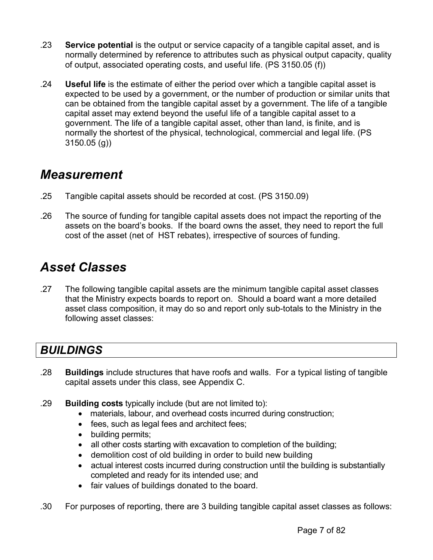- <span id="page-6-0"></span>.23 **Service potential** is the output or service capacity of a tangible capital asset, and is normally determined by reference to attributes such as physical output capacity, quality of output, associated operating costs, and useful life. (PS 3150.05 (f))
- .24 **Useful life** is the estimate of either the period over which a tangible capital asset is expected to be used by a government, or the number of production or similar units that can be obtained from the tangible capital asset by a government. The life of a tangible capital asset may extend beyond the useful life of a tangible capital asset to a government. The life of a tangible capital asset, other than land, is finite, and is normally the shortest of the physical, technological, commercial and legal life. (PS 3150.05 (g))

### *Measurement*

- .25 Tangible capital assets should be recorded at cost. (PS 3150.09)
- .26 The source of funding for tangible capital assets does not impact the reporting of the assets on the board's books. If the board owns the asset, they need to report the full cost of the asset (net of HST rebates), irrespective of sources of funding.

### *Asset Classes*

.27 The following tangible capital assets are the minimum tangible capital asset classes that the Ministry expects boards to report on. Should a board want a more detailed asset class composition, it may do so and report only sub-totals to the Ministry in the following asset classes:

### *BUILDINGS*

- .28 **Buildings** include structures that have roofs and walls. For a typical listing of tangible capital assets under this class, see Appendix C.
- .29 **Building costs** typically include (but are not limited to):
	- materials, labour, and overhead costs incurred during construction;
	- fees, such as legal fees and architect fees;
	- building permits;
	- all other costs starting with excavation to completion of the building;
	- demolition cost of old building in order to build new building
	- actual interest costs incurred during construction until the building is substantially completed and ready for its intended use; and
	- fair values of buildings donated to the board.
- .30 For purposes of reporting, there are 3 building tangible capital asset classes as follows: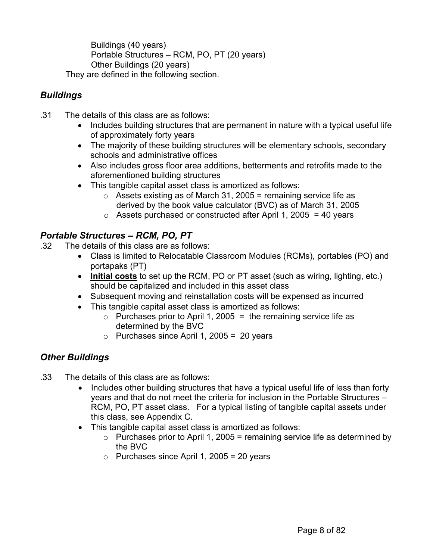<span id="page-7-0"></span>Buildings (40 years) Portable Structures – RCM, PO, PT (20 years) Other Buildings (20 years) They are defined in the following section.

#### *Buildings*

- .31 The details of this class are as follows:
	- Includes building structures that are permanent in nature with a typical useful life of approximately forty years
	- The majority of these building structures will be elementary schools, secondary schools and administrative offices
	- Also includes gross floor area additions, betterments and retrofits made to the aforementioned building structures
	- This tangible capital asset class is amortized as follows:
		- $\circ$  Assets existing as of March 31, 2005 = remaining service life as derived by the book value calculator (BVC) as of March 31, 2005
		- $\circ$  Assets purchased or constructed after April 1, 2005 = 40 years

#### *Portable Structures – RCM, PO, PT*

- .32 The details of this class are as follows:
	- Class is limited to Relocatable Classroom Modules (RCMs), portables (PO) and portapaks (PT)
	- **Initial costs** to set up the RCM, PO or PT asset (such as wiring, lighting, etc.) should be capitalized and included in this asset class
	- Subsequent moving and reinstallation costs will be expensed as incurred
	- This tangible capital asset class is amortized as follows:
		- $\circ$  Purchases prior to April 1, 2005 = the remaining service life as determined by the BVC
		- o Purchases since April 1, 2005 = 20 years

#### *Other Buildings*

- .33 The details of this class are as follows:
	- Includes other building structures that have a typical useful life of less than forty years and that do not meet the criteria for inclusion in the Portable Structures – RCM, PO, PT asset class. For a typical listing of tangible capital assets under this class, see Appendix C.
	- This tangible capital asset class is amortized as follows:
		- $\circ$  Purchases prior to April 1, 2005 = remaining service life as determined by the BVC
		- $\circ$  Purchases since April 1, 2005 = 20 years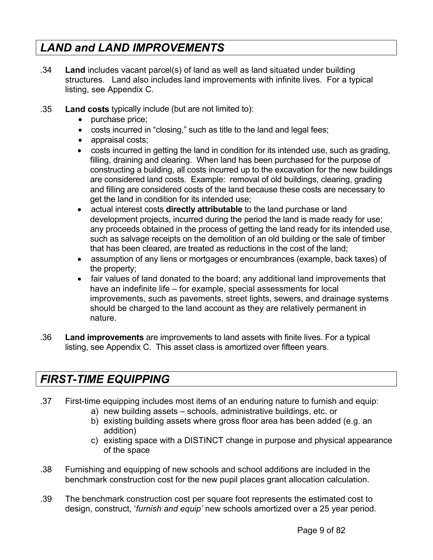### <span id="page-8-0"></span>*LAND and LAND IMPROVEMENTS*

- .34 **Land** includes vacant parcel(s) of land as well as land situated under building structures. Land also includes land improvements with infinite lives. For a typical listing, see Appendix C.
- .35 **Land costs** typically include (but are not limited to):
	- purchase price;
	- costs incurred in "closing," such as title to the land and legal fees;
	- appraisal costs;
	- costs incurred in getting the land in condition for its intended use, such as grading, filling, draining and clearing. When land has been purchased for the purpose of constructing a building, all costs incurred up to the excavation for the new buildings are considered land costs. Example: removal of old buildings, clearing, grading and filling are considered costs of the land because these costs are necessary to get the land in condition for its intended use;
	- actual interest costs **directly attributable** to the land purchase or land development projects, incurred during the period the land is made ready for use; any proceeds obtained in the process of getting the land ready for its intended use, such as salvage receipts on the demolition of an old building or the sale of timber that has been cleared, are treated as reductions in the cost of the land;
	- assumption of any liens or mortgages or encumbrances (example, back taxes) of the property;
	- fair values of land donated to the board; any additional land improvements that have an indefinite life – for example, special assessments for local improvements, such as pavements, street lights, sewers, and drainage systems should be charged to the land account as they are relatively permanent in nature.
- .36 **Land improvements** are improvements to land assets with finite lives. For a typical listing, see Appendix C. This asset class is amortized over fifteen years.

### *FIRST-TIME EQUIPPING*

- .37 First-time equipping includes most items of an enduring nature to furnish and equip:
	- a) new building assets schools, administrative buildings, etc. or
	- b) existing building assets where gross floor area has been added (e.g. an addition)
	- c) existing space with a DISTINCT change in purpose and physical appearance of the space
- .38 Furnishing and equipping of new schools and school additions are included in the benchmark construction cost for the new pupil places grant allocation calculation.
- .39 The benchmark construction cost per square foot represents the estimated cost to design, construct, '*furnish and equip'* new schools amortized over a 25 year period.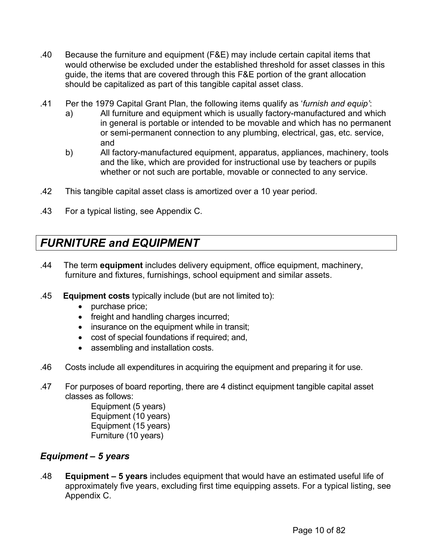- <span id="page-9-0"></span>.40 Because the furniture and equipment (F&E) may include certain capital items that would otherwise be excluded under the established threshold for asset classes in this guide, the items that are covered through this F&E portion of the grant allocation should be capitalized as part of this tangible capital asset class.
- .41 Per the 1979 Capital Grant Plan, the following items qualify as '*furnish and equip'*:
	- a) All furniture and equipment which is usually factory-manufactured and which in general is portable or intended to be movable and which has no permanent or semi-permanent connection to any plumbing, electrical, gas, etc. service, and
	- b) All factory-manufactured equipment, apparatus, appliances, machinery, tools and the like, which are provided for instructional use by teachers or pupils whether or not such are portable, movable or connected to any service.
- .42 This tangible capital asset class is amortized over a 10 year period.
- .43 For a typical listing, see Appendix C.

### *FURNITURE and EQUIPMENT*

- .44 The term **equipment** includes delivery equipment, office equipment, machinery, furniture and fixtures, furnishings, school equipment and similar assets.
- .45 **Equipment costs** typically include (but are not limited to):
	- purchase price;
	- freight and handling charges incurred;
	- insurance on the equipment while in transit;
	- cost of special foundations if required; and,
	- assembling and installation costs.
- .46 Costs include all expenditures in acquiring the equipment and preparing it for use.
- .47 For purposes of board reporting, there are 4 distinct equipment tangible capital asset classes as follows:

Equipment (5 years) Equipment (10 years) Equipment (15 years) Furniture (10 years)

#### *Equipment – 5 years*

.48 **Equipment – 5 years** includes equipment that would have an estimated useful life of approximately five years, excluding first time equipping assets. For a typical listing, see Appendix C.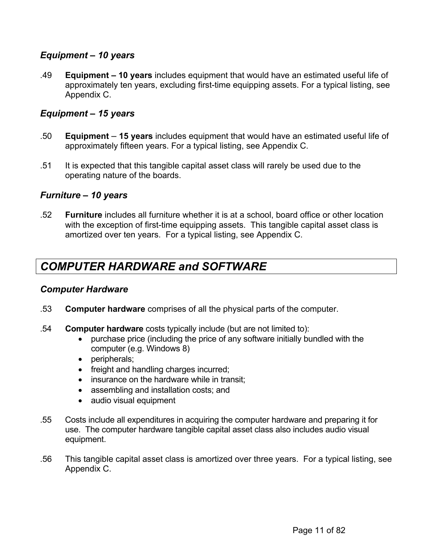#### <span id="page-10-0"></span>*Equipment – 10 years*

.49 **Equipment – 10 years** includes equipment that would have an estimated useful life of approximately ten years, excluding first-time equipping assets. For a typical listing, see Appendix C.

#### *Equipment – 15 years*

- .50 **Equipment** **15 years** includes equipment that would have an estimated useful life of approximately fifteen years. For a typical listing, see Appendix C.
- .51 It is expected that this tangible capital asset class will rarely be used due to the operating nature of the boards.

#### *Furniture – 10 years*

.52 **Furniture** includes all furniture whether it is at a school, board office or other location with the exception of first-time equipping assets. This tangible capital asset class is amortized over ten years. For a typical listing, see Appendix C.

### *COMPUTER HARDWARE and SOFTWARE*

#### *Computer Hardware*

- .53 **Computer hardware** comprises of all the physical parts of the computer.
- .54 **Computer hardware** costs typically include (but are not limited to):
	- purchase price (including the price of any software initially bundled with the computer (e.g. Windows 8)
	- peripherals;
	- freight and handling charges incurred;
	- insurance on the hardware while in transit;
	- assembling and installation costs; and
	- audio visual equipment
- .55 Costs include all expenditures in acquiring the computer hardware and preparing it for use. The computer hardware tangible capital asset class also includes audio visual equipment.
- .56 This tangible capital asset class is amortized over three years. For a typical listing, see Appendix C.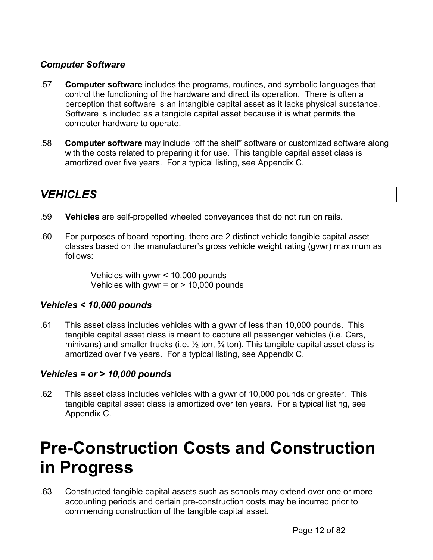#### <span id="page-11-0"></span>*Computer Software*

- .57 **Computer software** includes the programs, routines, and symbolic languages that control the functioning of the hardware and direct its operation. There is often a perception that software is an intangible capital asset as it lacks physical substance. Software is included as a tangible capital asset because it is what permits the computer hardware to operate.
- .58 **Computer software** may include "off the shelf" software or customized software along with the costs related to preparing it for use. This tangible capital asset class is amortized over five years. For a typical listing, see Appendix C.

### *VEHICLES*

- .59 **Vehicles** are self-propelled wheeled conveyances that do not run on rails.
- .60 For purposes of board reporting, there are 2 distinct vehicle tangible capital asset classes based on the manufacturer's gross vehicle weight rating (gvwr) maximum as follows:

Vehicles with gvwr < 10,000 pounds Vehicles with gywr =  $or$  > 10,000 pounds

#### *Vehicles < 10,000 pounds*

.61 This asset class includes vehicles with a gvwr of less than 10,000 pounds. This tangible capital asset class is meant to capture all passenger vehicles (i.e. Cars, minivans) and smaller trucks (i.e.  $\frac{1}{2}$  ton,  $\frac{3}{4}$  ton). This tangible capital asset class is amortized over five years. For a typical listing, see Appendix C.

#### *Vehicles = or > 10,000 pounds*

.62 This asset class includes vehicles with a gvwr of 10,000 pounds or greater. This tangible capital asset class is amortized over ten years. For a typical listing, see Appendix C.

## **Pre-Construction Costs and Construction in Progress**

.63 Constructed tangible capital assets such as schools may extend over one or more accounting periods and certain pre-construction costs may be incurred prior to commencing construction of the tangible capital asset.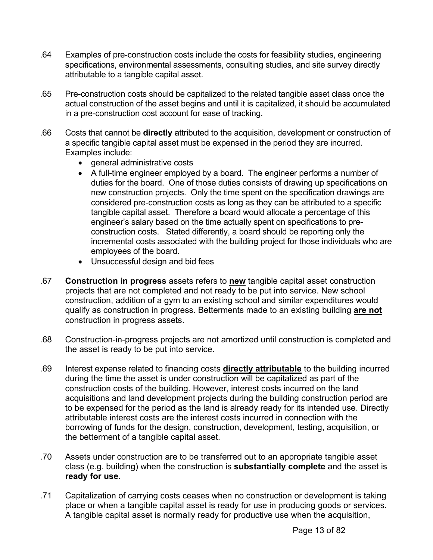- .64 Examples of pre-construction costs include the costs for feasibility studies, engineering specifications, environmental assessments, consulting studies, and site survey directly attributable to a tangible capital asset.
- .65 Pre-construction costs should be capitalized to the related tangible asset class once the actual construction of the asset begins and until it is capitalized, it should be accumulated in a pre-construction cost account for ease of tracking.
- .66 Costs that cannot be **directly** attributed to the acquisition, development or construction of a specific tangible capital asset must be expensed in the period they are incurred. Examples include:
	- general administrative costs
	- A full-time engineer employed by a board. The engineer performs a number of duties for the board. One of those duties consists of drawing up specifications on new construction projects. Only the time spent on the specification drawings are considered pre-construction costs as long as they can be attributed to a specific tangible capital asset. Therefore a board would allocate a percentage of this engineer's salary based on the time actually spent on specifications to preconstruction costs. Stated differently, a board should be reporting only the incremental costs associated with the building project for those individuals who are employees of the board.
	- Unsuccessful design and bid fees
- .67 **Construction in progress** assets refers to **new** tangible capital asset construction projects that are not completed and not ready to be put into service. New school construction, addition of a gym to an existing school and similar expenditures would qualify as construction in progress. Betterments made to an existing building **are not** construction in progress assets.
- .68 Construction-in-progress projects are not amortized until construction is completed and the asset is ready to be put into service.
- .69 Interest expense related to financing costs **directly attributable** to the building incurred during the time the asset is under construction will be capitalized as part of the construction costs of the building. However, interest costs incurred on the land acquisitions and land development projects during the building construction period are to be expensed for the period as the land is already ready for its intended use. Directly attributable interest costs are the interest costs incurred in connection with the borrowing of funds for the design, construction, development, testing, acquisition, or the betterment of a tangible capital asset.
- .70 Assets under construction are to be transferred out to an appropriate tangible asset class (e.g. building) when the construction is **substantially complete** and the asset is **ready for use**.
- .71 Capitalization of carrying costs ceases when no construction or development is taking place or when a tangible capital asset is ready for use in producing goods or services. A tangible capital asset is normally ready for productive use when the acquisition,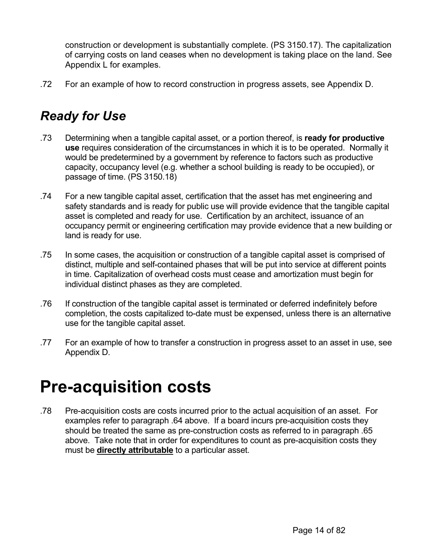<span id="page-13-0"></span>construction or development is substantially complete. (PS 3150.17). The capitalization of carrying costs on land ceases when no development is taking place on the land. See Appendix L for examples.

.72 For an example of how to record construction in progress assets, see Appendix D.

### *Ready for Use*

- .73 Determining when a tangible capital asset, or a portion thereof, is **ready for productive use** requires consideration of the circumstances in which it is to be operated. Normally it would be predetermined by a government by reference to factors such as productive capacity, occupancy level (e.g. whether a school building is ready to be occupied), or passage of time. (PS 3150.18)
- .74 For a new tangible capital asset, certification that the asset has met engineering and safety standards and is ready for public use will provide evidence that the tangible capital asset is completed and ready for use. Certification by an architect, issuance of an occupancy permit or engineering certification may provide evidence that a new building or land is ready for use.
- .75 In some cases, the acquisition or construction of a tangible capital asset is comprised of distinct, multiple and self-contained phases that will be put into service at different points in time. Capitalization of overhead costs must cease and amortization must begin for individual distinct phases as they are completed.
- .76 If construction of the tangible capital asset is terminated or deferred indefinitely before completion, the costs capitalized to-date must be expensed, unless there is an alternative use for the tangible capital asset.
- .77 For an example of how to transfer a construction in progress asset to an asset in use, see Appendix D.

## **Pre-acquisition costs**

.78 Pre-acquisition costs are costs incurred prior to the actual acquisition of an asset. For examples refer to paragraph .64 above. If a board incurs pre-acquisition costs they should be treated the same as pre-construction costs as referred to in paragraph .65 above. Take note that in order for expenditures to count as pre-acquisition costs they must be **directly attributable** to a particular asset.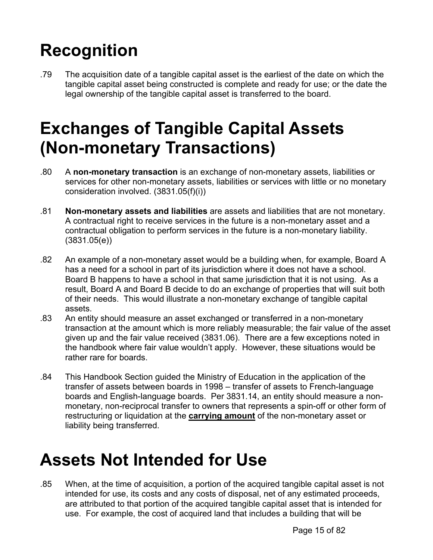# <span id="page-14-0"></span>**Recognition**

.79 The acquisition date of a tangible capital asset is the earliest of the date on which the tangible capital asset being constructed is complete and ready for use; or the date the legal ownership of the tangible capital asset is transferred to the board.

# **Exchanges of Tangible Capital Assets (Non-monetary Transactions)**

- .80 A **non-monetary transaction** is an exchange of non-monetary assets, liabilities or services for other non-monetary assets, liabilities or services with little or no monetary consideration involved. (3831.05(f)(i))
- .81 **Non-monetary assets and liabilities** are assets and liabilities that are not monetary. A contractual right to receive services in the future is a non-monetary asset and a contractual obligation to perform services in the future is a non-monetary liability. (3831.05(e))
- .82 An example of a non-monetary asset would be a building when, for example, Board A has a need for a school in part of its jurisdiction where it does not have a school. Board B happens to have a school in that same jurisdiction that it is not using. As a result, Board A and Board B decide to do an exchange of properties that will suit both of their needs. This would illustrate a non-monetary exchange of tangible capital assets.
- .83 An entity should measure an asset exchanged or transferred in a non-monetary transaction at the amount which is more reliably measurable; the fair value of the asset given up and the fair value received (3831.06). There are a few exceptions noted in the handbook where fair value wouldn't apply. However, these situations would be rather rare for boards.
- .84 This Handbook Section guided the Ministry of Education in the application of the transfer of assets between boards in 1998 – transfer of assets to French-language boards and English-language boards. Per 3831.14, an entity should measure a nonmonetary, non-reciprocal transfer to owners that represents a spin-off or other form of restructuring or liquidation at the **carrying amount** of the non-monetary asset or liability being transferred.

# **Assets Not Intended for Use**

.85 When, at the time of acquisition, a portion of the acquired tangible capital asset is not intended for use, its costs and any costs of disposal, net of any estimated proceeds, are attributed to that portion of the acquired tangible capital asset that is intended for use. For example, the cost of acquired land that includes a building that will be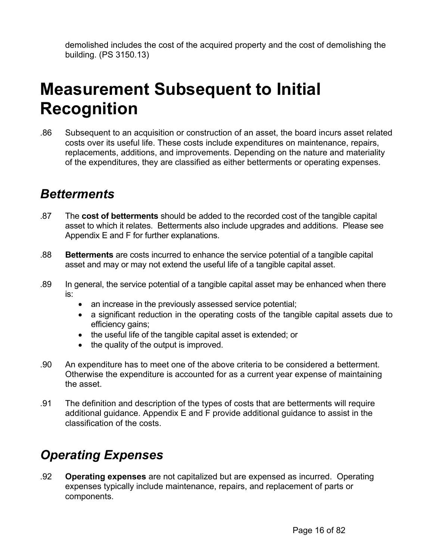<span id="page-15-0"></span>demolished includes the cost of the acquired property and the cost of demolishing the building. (PS 3150.13)

## **Measurement Subsequent to Initial Recognition**

.86 Subsequent to an acquisition or construction of an asset, the board incurs asset related costs over its useful life. These costs include expenditures on maintenance, repairs, replacements, additions, and improvements. Depending on the nature and materiality of the expenditures, they are classified as either betterments or operating expenses.

### *Betterments*

- .87 The **cost of betterments** should be added to the recorded cost of the tangible capital asset to which it relates. Betterments also include upgrades and additions. Please see Appendix E and F for further explanations.
- .88 **Betterments** are costs incurred to enhance the service potential of a tangible capital asset and may or may not extend the useful life of a tangible capital asset.
- .89 In general, the service potential of a tangible capital asset may be enhanced when there is:
	- an increase in the previously assessed service potential;
	- a significant reduction in the operating costs of the tangible capital assets due to efficiency gains;
	- the useful life of the tangible capital asset is extended; or
	- the quality of the output is improved.
- .90 An expenditure has to meet one of the above criteria to be considered a betterment. Otherwise the expenditure is accounted for as a current year expense of maintaining the asset.
- .91 The definition and description of the types of costs that are betterments will require additional guidance. Appendix E and F provide additional guidance to assist in the classification of the costs.

## *Operating Expenses*

.92 **Operating expenses** are not capitalized but are expensed as incurred. Operating expenses typically include maintenance, repairs, and replacement of parts or components.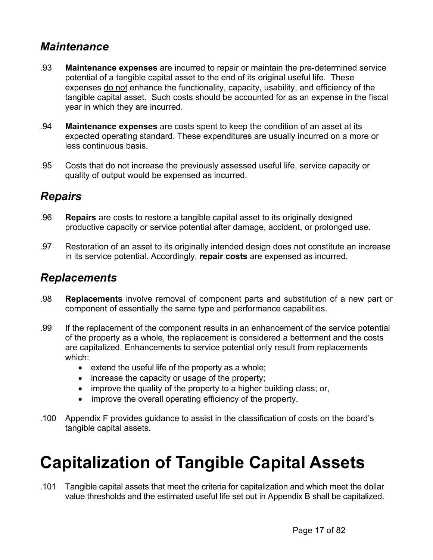### <span id="page-16-0"></span>*Maintenance*

- .93 **Maintenance expenses** are incurred to repair or maintain the pre-determined service potential of a tangible capital asset to the end of its original useful life. These expenses do not enhance the functionality, capacity, usability, and efficiency of the tangible capital asset. Such costs should be accounted for as an expense in the fiscal year in which they are incurred.
- .94 **Maintenance expenses** are costs spent to keep the condition of an asset at its expected operating standard. These expenditures are usually incurred on a more or less continuous basis.
- .95 Costs that do not increase the previously assessed useful life, service capacity or quality of output would be expensed as incurred.

### *Repairs*

- .96 **Repairs** are costs to restore a tangible capital asset to its originally designed productive capacity or service potential after damage, accident, or prolonged use.
- .97 Restoration of an asset to its originally intended design does not constitute an increase in its service potential. Accordingly, **repair costs** are expensed as incurred.

### *Replacements*

- .98 **Replacements** involve removal of component parts and substitution of a new part or component of essentially the same type and performance capabilities.
- .99 If the replacement of the component results in an enhancement of the service potential of the property as a whole, the replacement is considered a betterment and the costs are capitalized. Enhancements to service potential only result from replacements which:
	- extend the useful life of the property as a whole;
	- increase the capacity or usage of the property;
	- improve the quality of the property to a higher building class; or,
	- improve the overall operating efficiency of the property.
- .100 Appendix F provides guidance to assist in the classification of costs on the board's tangible capital assets.

# **Capitalization of Tangible Capital Assets**

.101 Tangible capital assets that meet the criteria for capitalization and which meet the dollar value thresholds and the estimated useful life set out in Appendix B shall be capitalized.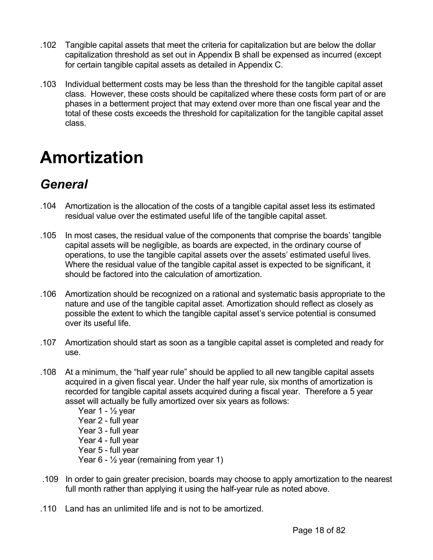- <span id="page-17-0"></span>.102 Tangible capital assets that meet the criteria for capitalization but are below the dollar capitalization threshold as set out in Appendix B shall be expensed as incurred (except for certain tangible capital assets as detailed in Appendix C.
- .103 Individual betterment costs may be less than the threshold for the tangible capital asset class. However, these costs should be capitalized where these costs form part of or are phases in a betterment project that may extend over more than one fiscal year and the total of these costs exceeds the threshold for capitalization for the tangible capital asset class.

## **Amortization**

## *General*

- .104 Amortization is the allocation of the costs of a tangible capital asset less its estimated residual value over the estimated useful life of the tangible capital asset.
- .105 In most cases, the residual value of the components that comprise the boards' tangible capital assets will be negligible, as boards are expected, in the ordinary course of operations, to use the tangible capital assets over the assets' estimated useful lives. Where the residual value of the tangible capital asset is expected to be significant, it should be factored into the calculation of amortization.
- .106 Amortization should be recognized on a rational and systematic basis appropriate to the nature and use of the tangible capital asset. Amortization should reflect as closely as possible the extent to which the tangible capital asset's service potential is consumed over its useful life.
- .107 Amortization should start as soon as a tangible capital asset is completed and ready for use.
- .108 At a minimum, the "half year rule" should be applied to all new tangible capital assets acquired in a given fiscal year. Under the half year rule, six months of amortization is recorded for tangible capital assets acquired during a fiscal year. Therefore a 5 year asset will actually be fully amortized over six years as follows:
	- Year 1  $\frac{1}{2}$  year Year 2 - full year Year 3 - full year Year 4 - full year Year 5 - full year Year  $6 - \frac{1}{2}$  year (remaining from year 1)
- .109 In order to gain greater precision, boards may choose to apply amortization to the nearest full month rather than applying it using the half-year rule as noted above.
- .110 Land has an unlimited life and is not to be amortized.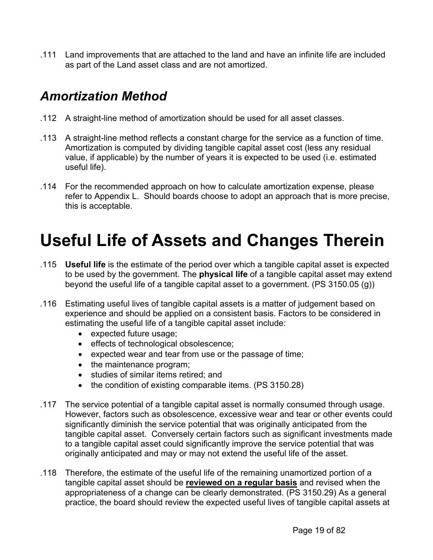<span id="page-18-0"></span>.111 Land improvements that are attached to the land and have an infinite life are included as part of the Land asset class and are not amortized.

### *Amortization Method*

- .112 A straight-line method of amortization should be used for all asset classes.
- .113 A straight-line method reflects a constant charge for the service as a function of time. Amortization is computed by dividing tangible capital asset cost (less any residual value, if applicable) by the number of years it is expected to be used (i.e. estimated useful life).
- .114 For the recommended approach on how to calculate amortization expense, please refer to Appendix L. Should boards choose to adopt an approach that is more precise, this is acceptable.

# **Useful Life of Assets and Changes Therein**

- .115 **Useful life** is the estimate of the period over which a tangible capital asset is expected to be used by the government. The **physical life** of a tangible capital asset may extend beyond the useful life of a tangible capital asset to a government. (PS 3150.05 (g))
- .116 Estimating useful lives of tangible capital assets is a matter of judgement based on experience and should be applied on a consistent basis. Factors to be considered in estimating the useful life of a tangible capital asset include:
	- expected future usage;
	- effects of technological obsolescence;
	- expected wear and tear from use or the passage of time;
	- the maintenance program;
	- studies of similar items retired; and
	- the condition of existing comparable items. (PS 3150.28)
- .117 The service potential of a tangible capital asset is normally consumed through usage. However, factors such as obsolescence, excessive wear and tear or other events could significantly diminish the service potential that was originally anticipated from the tangible capital asset. Conversely certain factors such as significant investments made to a tangible capital asset could significantly improve the service potential that was originally anticipated and may or may not extend the useful life of the asset.
- .118 Therefore, the estimate of the useful life of the remaining unamortized portion of a tangible capital asset should be **reviewed on a regular basis** and revised when the appropriateness of a change can be clearly demonstrated. (PS 3150.29) As a general practice, the board should review the expected useful lives of tangible capital assets at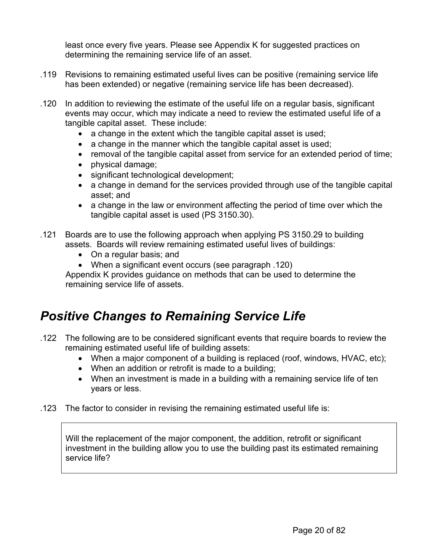<span id="page-19-0"></span>least once every five years. Please see Appendix K for suggested practices on determining the remaining service life of an asset.

- .119 Revisions to remaining estimated useful lives can be positive (remaining service life has been extended) or negative (remaining service life has been decreased).
- .120 In addition to reviewing the estimate of the useful life on a regular basis, significant events may occur, which may indicate a need to review the estimated useful life of a tangible capital asset. These include:
	- a change in the extent which the tangible capital asset is used;
	- a change in the manner which the tangible capital asset is used;
	- removal of the tangible capital asset from service for an extended period of time;
	- physical damage;
	- significant technological development;
	- a change in demand for the services provided through use of the tangible capital asset; and
	- a change in the law or environment affecting the period of time over which the tangible capital asset is used (PS 3150.30).

.121 Boards are to use the following approach when applying PS 3150.29 to building assets. Boards will review remaining estimated useful lives of buildings:

- On a regular basis; and
- When a significant event occurs (see paragraph .120)

Appendix K provides guidance on methods that can be used to determine the remaining service life of assets.

### *Positive Changes to Remaining Service Life*

- .122 The following are to be considered significant events that require boards to review the remaining estimated useful life of building assets:
	- When a major component of a building is replaced (roof, windows, HVAC, etc);
	- When an addition or retrofit is made to a building;
	- When an investment is made in a building with a remaining service life of ten years or less.
- .123 The factor to consider in revising the remaining estimated useful life is:

Will the replacement of the major component, the addition, retrofit or significant investment in the building allow you to use the building past its estimated remaining service life?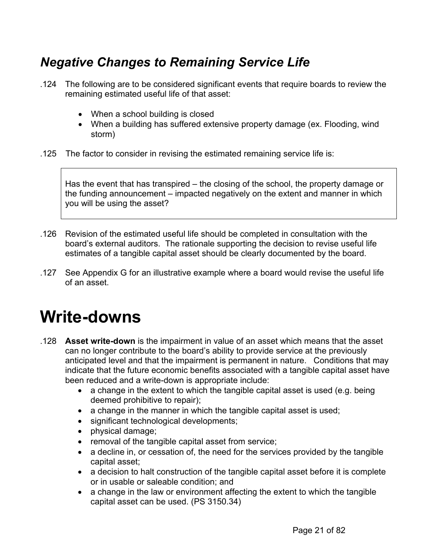### <span id="page-20-0"></span>*Negative Changes to Remaining Service Life*

- .124 The following are to be considered significant events that require boards to review the remaining estimated useful life of that asset:
	- When a school building is closed
	- When a building has suffered extensive property damage (ex. Flooding, wind storm)
- .125 The factor to consider in revising the estimated remaining service life is:

Has the event that has transpired – the closing of the school, the property damage or the funding announcement – impacted negatively on the extent and manner in which you will be using the asset?

- .126 Revision of the estimated useful life should be completed in consultation with the board's external auditors. The rationale supporting the decision to revise useful life estimates of a tangible capital asset should be clearly documented by the board.
- .127 See Appendix G for an illustrative example where a board would revise the useful life of an asset.

## **Write-downs**

- .128 **Asset write-down** is the impairment in value of an asset which means that the asset can no longer contribute to the board's ability to provide service at the previously anticipated level and that the impairment is permanent in nature. Conditions that may indicate that the future economic benefits associated with a tangible capital asset have been reduced and a write-down is appropriate include:
	- a change in the extent to which the tangible capital asset is used (e.g. being deemed prohibitive to repair);
	- a change in the manner in which the tangible capital asset is used;
	- significant technological developments;
	- physical damage;
	- removal of the tangible capital asset from service;
	- a decline in, or cessation of, the need for the services provided by the tangible capital asset;
	- a decision to halt construction of the tangible capital asset before it is complete or in usable or saleable condition; and
	- a change in the law or environment affecting the extent to which the tangible capital asset can be used. (PS 3150.34)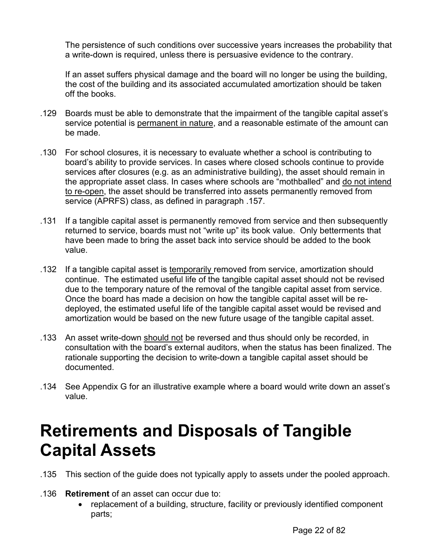<span id="page-21-0"></span>The persistence of such conditions over successive years increases the probability that a write-down is required, unless there is persuasive evidence to the contrary.

If an asset suffers physical damage and the board will no longer be using the building, the cost of the building and its associated accumulated amortization should be taken off the books.

- .129 Boards must be able to demonstrate that the impairment of the tangible capital asset's service potential is permanent in nature, and a reasonable estimate of the amount can be made.
- .130 For school closures, it is necessary to evaluate whether a school is contributing to board's ability to provide services. In cases where closed schools continue to provide services after closures (e.g. as an administrative building), the asset should remain in the appropriate asset class. In cases where schools are "mothballed" and do not intend to re-open, the asset should be transferred into assets permanently removed from service (APRFS) class, as defined in paragraph .157.
- .131 If a tangible capital asset is permanently removed from service and then subsequently returned to service, boards must not "write up" its book value. Only betterments that have been made to bring the asset back into service should be added to the book value.
- .132 If a tangible capital asset is temporarily removed from service, amortization should continue. The estimated useful life of the tangible capital asset should not be revised due to the temporary nature of the removal of the tangible capital asset from service. Once the board has made a decision on how the tangible capital asset will be redeployed, the estimated useful life of the tangible capital asset would be revised and amortization would be based on the new future usage of the tangible capital asset.
- .133 An asset write-down should not be reversed and thus should only be recorded, in consultation with the board's external auditors, when the status has been finalized. The rationale supporting the decision to write-down a tangible capital asset should be documented.
- .134 See Appendix G for an illustrative example where a board would write down an asset's value.

## **Retirements and Disposals of Tangible Capital Assets**

- .135 This section of the guide does not typically apply to assets under the pooled approach.
- .136 **Retirement** of an asset can occur due to:
	- replacement of a building, structure, facility or previously identified component parts;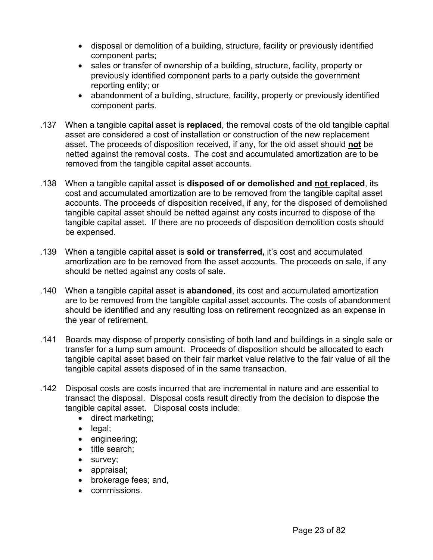- disposal or demolition of a building, structure, facility or previously identified component parts;
- sales or transfer of ownership of a building, structure, facility, property or previously identified component parts to a party outside the government reporting entity; or
- abandonment of a building, structure, facility, property or previously identified component parts.
- .137 When a tangible capital asset is **replaced**, the removal costs of the old tangible capital asset are considered a cost of installation or construction of the new replacement asset. The proceeds of disposition received, if any, for the old asset should **not** be netted against the removal costs. The cost and accumulated amortization are to be removed from the tangible capital asset accounts.
- .138 When a tangible capital asset is **disposed of or demolished and not replaced**, its cost and accumulated amortization are to be removed from the tangible capital asset accounts. The proceeds of disposition received, if any, for the disposed of demolished tangible capital asset should be netted against any costs incurred to dispose of the tangible capital asset. If there are no proceeds of disposition demolition costs should be expensed.
- .139 When a tangible capital asset is **sold or transferred,** it's cost and accumulated amortization are to be removed from the asset accounts. The proceeds on sale, if any should be netted against any costs of sale.
- .140 When a tangible capital asset is **abandoned**, its cost and accumulated amortization are to be removed from the tangible capital asset accounts. The costs of abandonment should be identified and any resulting loss on retirement recognized as an expense in the year of retirement.
- .141 Boards may dispose of property consisting of both land and buildings in a single sale or transfer for a lump sum amount. Proceeds of disposition should be allocated to each tangible capital asset based on their fair market value relative to the fair value of all the tangible capital assets disposed of in the same transaction.
- .142 Disposal costs are costs incurred that are incremental in nature and are essential to transact the disposal. Disposal costs result directly from the decision to dispose the tangible capital asset. Disposal costs include:
	- direct marketing;
	- legal;
	- engineering;
	- title search:
	- survey;
	- appraisal;
	- brokerage fees; and,
	- commissions.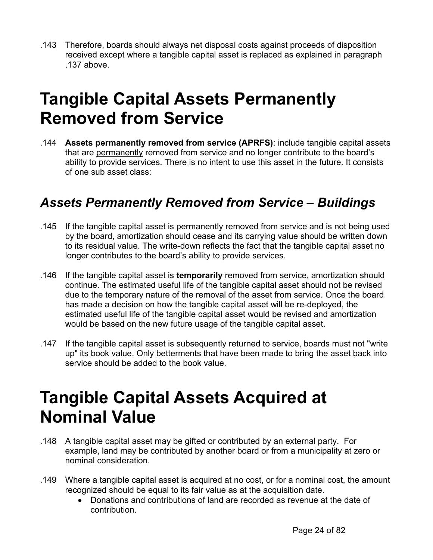<span id="page-23-0"></span>.143 Therefore, boards should always net disposal costs against proceeds of disposition received except where a tangible capital asset is replaced as explained in paragraph .137 above.

## **Tangible Capital Assets Permanently Removed from Service**

.144 **Assets permanently removed from service (APRFS)**: include tangible capital assets that are permanently removed from service and no longer contribute to the board's ability to provide services. There is no intent to use this asset in the future. It consists of one sub asset class:

### *Assets Permanently Removed from Service – Buildings*

- .145 If the tangible capital asset is permanently removed from service and is not being used by the board, amortization should cease and its carrying value should be written down to its residual value. The write-down reflects the fact that the tangible capital asset no longer contributes to the board's ability to provide services.
- .146 If the tangible capital asset is **temporarily** removed from service, amortization should continue. The estimated useful life of the tangible capital asset should not be revised due to the temporary nature of the removal of the asset from service. Once the board has made a decision on how the tangible capital asset will be re-deployed, the estimated useful life of the tangible capital asset would be revised and amortization would be based on the new future usage of the tangible capital asset.
- .147 If the tangible capital asset is subsequently returned to service, boards must not "write up" its book value. Only betterments that have been made to bring the asset back into service should be added to the book value.

## **Tangible Capital Assets Acquired at Nominal Value**

- .148 A tangible capital asset may be gifted or contributed by an external party. For example, land may be contributed by another board or from a municipality at zero or nominal consideration.
- .149 Where a tangible capital asset is acquired at no cost, or for a nominal cost, the amount recognized should be equal to its fair value as at the acquisition date.
	- Donations and contributions of land are recorded as revenue at the date of contribution.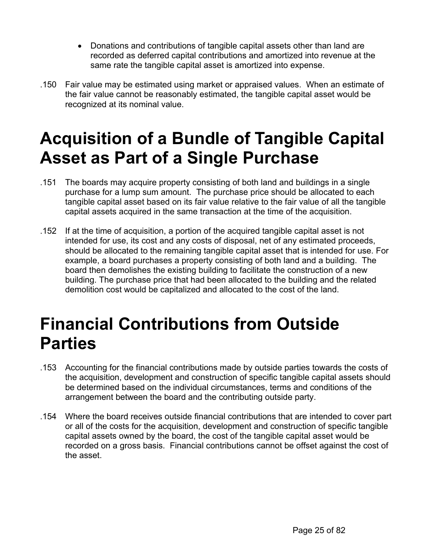- <span id="page-24-0"></span>• Donations and contributions of tangible capital assets other than land are recorded as deferred capital contributions and amortized into revenue at the same rate the tangible capital asset is amortized into expense.
- .150 Fair value may be estimated using market or appraised values. When an estimate of the fair value cannot be reasonably estimated, the tangible capital asset would be recognized at its nominal value.

# **Acquisition of a Bundle of Tangible Capital Asset as Part of a Single Purchase**

- .151 The boards may acquire property consisting of both land and buildings in a single purchase for a lump sum amount. The purchase price should be allocated to each tangible capital asset based on its fair value relative to the fair value of all the tangible capital assets acquired in the same transaction at the time of the acquisition.
- .152 If at the time of acquisition, a portion of the acquired tangible capital asset is not intended for use, its cost and any costs of disposal, net of any estimated proceeds, should be allocated to the remaining tangible capital asset that is intended for use. For example, a board purchases a property consisting of both land and a building. The board then demolishes the existing building to facilitate the construction of a new building. The purchase price that had been allocated to the building and the related demolition cost would be capitalized and allocated to the cost of the land.

## **Financial Contributions from Outside Parties**

- .153 Accounting for the financial contributions made by outside parties towards the costs of the acquisition, development and construction of specific tangible capital assets should be determined based on the individual circumstances, terms and conditions of the arrangement between the board and the contributing outside party.
- .154 Where the board receives outside financial contributions that are intended to cover part or all of the costs for the acquisition, development and construction of specific tangible capital assets owned by the board, the cost of the tangible capital asset would be recorded on a gross basis. Financial contributions cannot be offset against the cost of the asset.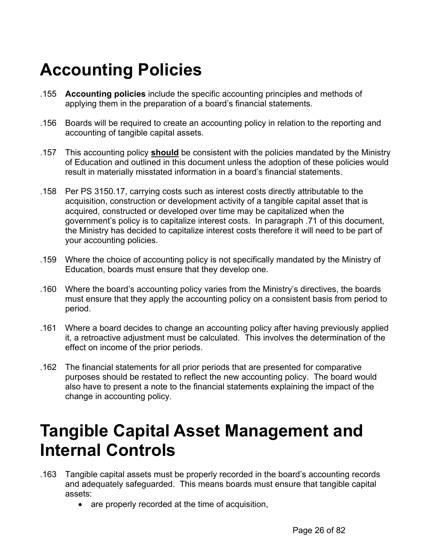# <span id="page-25-0"></span>**Accounting Policies**

- .155 **Accounting policies** include the specific accounting principles and methods of applying them in the preparation of a board's financial statements.
- .156 Boards will be required to create an accounting policy in relation to the reporting and accounting of tangible capital assets.
- .157 This accounting policy **should** be consistent with the policies mandated by the Ministry of Education and outlined in this document unless the adoption of these policies would result in materially misstated information in a board's financial statements.
- .158 Per PS 3150.17, carrying costs such as interest costs directly attributable to the acquisition, construction or development activity of a tangible capital asset that is acquired, constructed or developed over time may be capitalized when the government's policy is to capitalize interest costs. In paragraph .71 of this document, the Ministry has decided to capitalize interest costs therefore it will need to be part of your accounting policies.
- .159 Where the choice of accounting policy is not specifically mandated by the Ministry of Education, boards must ensure that they develop one.
- .160 Where the board's accounting policy varies from the Ministry's directives, the boards must ensure that they apply the accounting policy on a consistent basis from period to period.
- .161 Where a board decides to change an accounting policy after having previously applied it, a retroactive adjustment must be calculated. This involves the determination of the effect on income of the prior periods.
- .162 The financial statements for all prior periods that are presented for comparative purposes should be restated to reflect the new accounting policy. The board would also have to present a note to the financial statements explaining the impact of the change in accounting policy.

## **Tangible Capital Asset Management and Internal Controls**

- .163 Tangible capital assets must be properly recorded in the board's accounting records and adequately safeguarded. This means boards must ensure that tangible capital assets:
	- are properly recorded at the time of acquisition,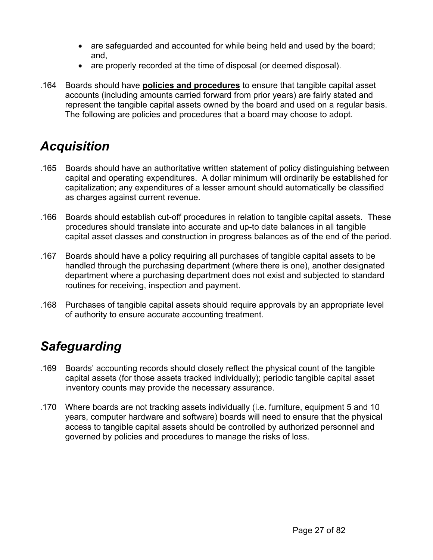- <span id="page-26-0"></span>• are safeguarded and accounted for while being held and used by the board; and,
- are properly recorded at the time of disposal (or deemed disposal).
- .164 Boards should have **policies and procedures** to ensure that tangible capital asset accounts (including amounts carried forward from prior years) are fairly stated and represent the tangible capital assets owned by the board and used on a regular basis. The following are policies and procedures that a board may choose to adopt.

### *Acquisition*

- .165 Boards should have an authoritative written statement of policy distinguishing between capital and operating expenditures. A dollar minimum will ordinarily be established for capitalization; any expenditures of a lesser amount should automatically be classified as charges against current revenue.
- .166 Boards should establish cut-off procedures in relation to tangible capital assets. These procedures should translate into accurate and up-to date balances in all tangible capital asset classes and construction in progress balances as of the end of the period.
- .167 Boards should have a policy requiring all purchases of tangible capital assets to be handled through the purchasing department (where there is one), another designated department where a purchasing department does not exist and subjected to standard routines for receiving, inspection and payment.
- .168 Purchases of tangible capital assets should require approvals by an appropriate level of authority to ensure accurate accounting treatment.

## *Safeguarding*

- .169 Boards' accounting records should closely reflect the physical count of the tangible capital assets (for those assets tracked individually); periodic tangible capital asset inventory counts may provide the necessary assurance.
- .170 Where boards are not tracking assets individually (i.e. furniture, equipment 5 and 10 years, computer hardware and software) boards will need to ensure that the physical access to tangible capital assets should be controlled by authorized personnel and governed by policies and procedures to manage the risks of loss.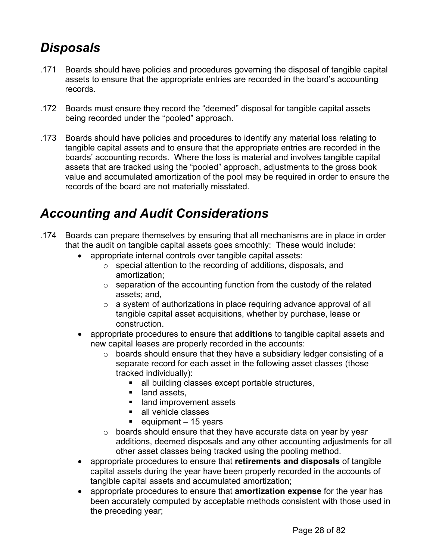### <span id="page-27-0"></span>*Disposals*

- .171 Boards should have policies and procedures governing the disposal of tangible capital assets to ensure that the appropriate entries are recorded in the board's accounting records.
- .172 Boards must ensure they record the "deemed" disposal for tangible capital assets being recorded under the "pooled" approach.
- .173 Boards should have policies and procedures to identify any material loss relating to tangible capital assets and to ensure that the appropriate entries are recorded in the boards' accounting records. Where the loss is material and involves tangible capital assets that are tracked using the "pooled" approach, adjustments to the gross book value and accumulated amortization of the pool may be required in order to ensure the records of the board are not materially misstated.

### *Accounting and Audit Considerations*

- .174 Boards can prepare themselves by ensuring that all mechanisms are in place in order that the audit on tangible capital assets goes smoothly: These would include:
	- appropriate internal controls over tangible capital assets:
		- o special attention to the recording of additions, disposals, and amortization;
		- $\circ$  separation of the accounting function from the custody of the related assets; and,
		- o a system of authorizations in place requiring advance approval of all tangible capital asset acquisitions, whether by purchase, lease or construction.
	- appropriate procedures to ensure that **additions** to tangible capital assets and new capital leases are properly recorded in the accounts:
		- o boards should ensure that they have a subsidiary ledger consisting of a separate record for each asset in the following asset classes (those tracked individually):
			- **all building classes except portable structures,**
			- land assets,
			- land improvement assets
			- all vehicle classes
			- equipment  $-15$  years
		- $\circ$  boards should ensure that they have accurate data on year by year additions, deemed disposals and any other accounting adjustments for all other asset classes being tracked using the pooling method.
	- appropriate procedures to ensure that **retirements and disposals** of tangible capital assets during the year have been properly recorded in the accounts of tangible capital assets and accumulated amortization;
	- appropriate procedures to ensure that **amortization expense** for the year has been accurately computed by acceptable methods consistent with those used in the preceding year;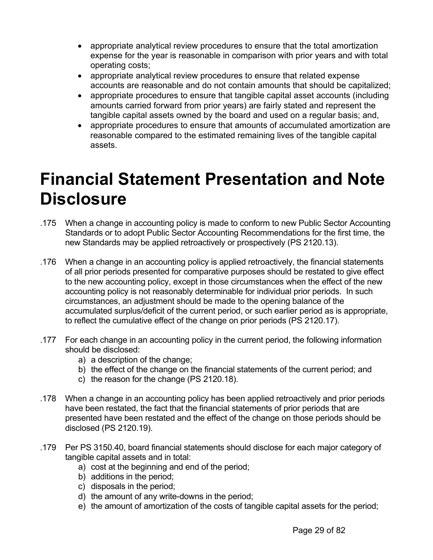- <span id="page-28-0"></span>• appropriate analytical review procedures to ensure that the total amortization expense for the year is reasonable in comparison with prior years and with total operating costs;
- appropriate analytical review procedures to ensure that related expense accounts are reasonable and do not contain amounts that should be capitalized;
- appropriate procedures to ensure that tangible capital asset accounts (including amounts carried forward from prior years) are fairly stated and represent the tangible capital assets owned by the board and used on a regular basis; and,
- appropriate procedures to ensure that amounts of accumulated amortization are reasonable compared to the estimated remaining lives of the tangible capital assets.

## **Financial Statement Presentation and Note Disclosure**

- .175 When a change in accounting policy is made to conform to new Public Sector Accounting Standards or to adopt Public Sector Accounting Recommendations for the first time, the new Standards may be applied retroactively or prospectively (PS 2120.13).
- .176 When a change in an accounting policy is applied retroactively, the financial statements of all prior periods presented for comparative purposes should be restated to give effect to the new accounting policy, except in those circumstances when the effect of the new accounting policy is not reasonably determinable for individual prior periods. In such circumstances, an adjustment should be made to the opening balance of the accumulated surplus/deficit of the current period, or such earlier period as is appropriate, to reflect the cumulative effect of the change on prior periods (PS 2120.17).
- .177 For each change in an accounting policy in the current period, the following information should be disclosed:
	- a) a description of the change;
	- b) the effect of the change on the financial statements of the current period; and
	- c) the reason for the change (PS 2120.18).
- .178 When a change in an accounting policy has been applied retroactively and prior periods have been restated, the fact that the financial statements of prior periods that are presented have been restated and the effect of the change on those periods should be disclosed (PS 2120.19).
- .179 Per PS 3150.40, board financial statements should disclose for each major category of tangible capital assets and in total:
	- a) cost at the beginning and end of the period;
	- b) additions in the period;
	- c) disposals in the period;
	- d) the amount of any write-downs in the period;
	- e) the amount of amortization of the costs of tangible capital assets for the period;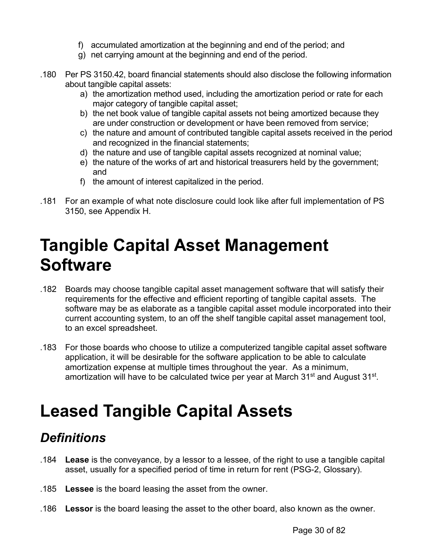- f) accumulated amortization at the beginning and end of the period; and
- g) net carrying amount at the beginning and end of the period.
- <span id="page-29-0"></span>.180 Per PS 3150.42, board financial statements should also disclose the following information about tangible capital assets:
	- a) the amortization method used, including the amortization period or rate for each major category of tangible capital asset;
	- b) the net book value of tangible capital assets not being amortized because they are under construction or development or have been removed from service;
	- c) the nature and amount of contributed tangible capital assets received in the period and recognized in the financial statements;
	- d) the nature and use of tangible capital assets recognized at nominal value;
	- e) the nature of the works of art and historical treasurers held by the government; and
	- f) the amount of interest capitalized in the period.
- .181 For an example of what note disclosure could look like after full implementation of PS 3150, see Appendix H.

## **Tangible Capital Asset Management Software**

- .182 Boards may choose tangible capital asset management software that will satisfy their requirements for the effective and efficient reporting of tangible capital assets. The software may be as elaborate as a tangible capital asset module incorporated into their current accounting system, to an off the shelf tangible capital asset management tool, to an excel spreadsheet.
- .183 For those boards who choose to utilize a computerized tangible capital asset software application, it will be desirable for the software application to be able to calculate amortization expense at multiple times throughout the year. As a minimum, amortization will have to be calculated twice per year at March 31<sup>st</sup> and August 31<sup>st</sup>.

## **Leased Tangible Capital Assets**

### *Definitions*

- .184 **Lease** is the conveyance, by a lessor to a lessee, of the right to use a tangible capital asset, usually for a specified period of time in return for rent (PSG-2, Glossary).
- .185 **Lessee** is the board leasing the asset from the owner.
- .186 **Lessor** is the board leasing the asset to the other board, also known as the owner.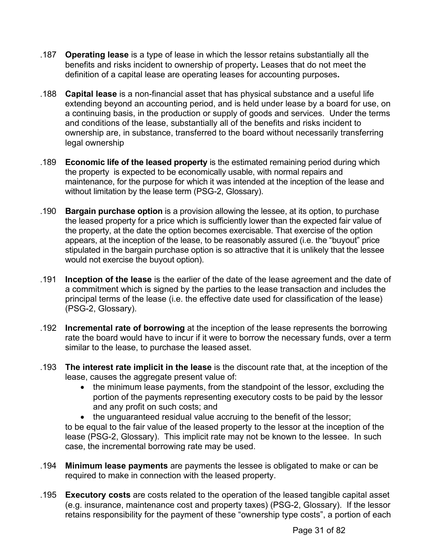- .187 **Operating lease** is a type of lease in which the lessor retains substantially all the benefits and risks incident to ownership of property**.** Leases that do not meet the definition of a capital lease are operating leases for accounting purposes**.**
- .188 **Capital lease** is a non-financial asset that has physical substance and a useful life extending beyond an accounting period, and is held under lease by a board for use, on a continuing basis, in the production or supply of goods and services. Under the terms and conditions of the lease, substantially all of the benefits and risks incident to ownership are, in substance, transferred to the board without necessarily transferring legal ownership
- .189 **Economic life of the leased property** is the estimated remaining period during which the property is expected to be economically usable, with normal repairs and maintenance, for the purpose for which it was intended at the inception of the lease and without limitation by the lease term (PSG-2, Glossary).
- .190 **Bargain purchase option** is a provision allowing the lessee, at its option, to purchase the leased property for a price which is sufficiently lower than the expected fair value of the property, at the date the option becomes exercisable. That exercise of the option appears, at the inception of the lease, to be reasonably assured (i.e. the "buyout" price stipulated in the bargain purchase option is so attractive that it is unlikely that the lessee would not exercise the buyout option).
- .191 **Inception of the lease** is the earlier of the date of the lease agreement and the date of a commitment which is signed by the parties to the lease transaction and includes the principal terms of the lease (i.e. the effective date used for classification of the lease) (PSG-2, Glossary).
- .192 **Incremental rate of borrowing** at the inception of the lease represents the borrowing rate the board would have to incur if it were to borrow the necessary funds, over a term similar to the lease, to purchase the leased asset.
- .193 **The interest rate implicit in the lease** is the discount rate that, at the inception of the lease, causes the aggregate present value of:
	- the minimum lease payments, from the standpoint of the lessor, excluding the portion of the payments representing executory costs to be paid by the lessor and any profit on such costs; and
	- the unguaranteed residual value accruing to the benefit of the lessor;

to be equal to the fair value of the leased property to the lessor at the inception of the lease (PSG-2, Glossary). This implicit rate may not be known to the lessee. In such case, the incremental borrowing rate may be used.

- .194 **Minimum lease payments** are payments the lessee is obligated to make or can be required to make in connection with the leased property.
- .195 **Executory costs** are costs related to the operation of the leased tangible capital asset (e.g. insurance, maintenance cost and property taxes) (PSG-2, Glossary). If the lessor retains responsibility for the payment of these "ownership type costs", a portion of each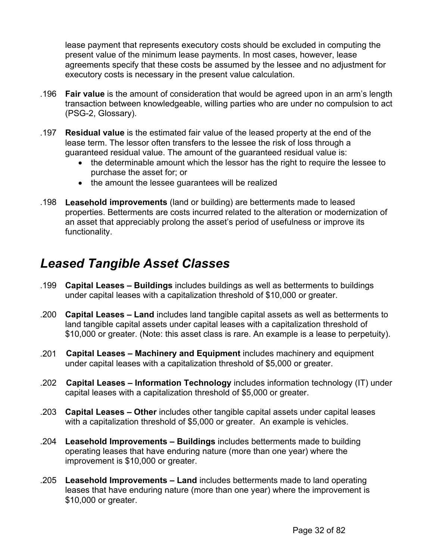<span id="page-31-0"></span>lease payment that represents executory costs should be excluded in computing the present value of the minimum lease payments. In most cases, however, lease agreements specify that these costs be assumed by the lessee and no adjustment for executory costs is necessary in the present value calculation.

- .196 **Fair value** is the amount of consideration that would be agreed upon in an arm's length transaction between knowledgeable, willing parties who are under no compulsion to act (PSG-2, Glossary).
- .197 **Residual value** is the estimated fair value of the leased property at the end of the lease term. The lessor often transfers to the lessee the risk of loss through a guaranteed residual value. The amount of the guaranteed residual value is:
	- the determinable amount which the lessor has the right to require the lessee to purchase the asset for; or
	- the amount the lessee guarantees will be realized
- .198 **Leasehold improvements** (land or building) are betterments made to leased properties. Betterments are costs incurred related to the alteration or modernization of an asset that appreciably prolong the asset's period of usefulness or improve its functionality.

### *Leased Tangible Asset Classes*

- .199 **Capital Leases Buildings** includes buildings as well as betterments to buildings under capital leases with a capitalization threshold of \$10,000 or greater.
- .200 **Capital Leases Land** includes land tangible capital assets as well as betterments to land tangible capital assets under capital leases with a capitalization threshold of \$10,000 or greater. (Note: this asset class is rare. An example is a lease to perpetuity).
- .201 **Capital Leases Machinery and Equipment** includes machinery and equipment under capital leases with a capitalization threshold of \$5,000 or greater.
- .202 **Capital Leases Information Technology** includes information technology (IT) under capital leases with a capitalization threshold of \$5,000 or greater.
- .203 **Capital Leases Other** includes other tangible capital assets under capital leases with a capitalization threshold of \$5,000 or greater. An example is vehicles.
- .204 **Leasehold Improvements Buildings** includes betterments made to building operating leases that have enduring nature (more than one year) where the improvement is \$10,000 or greater.
- .205 **Leasehold Improvements Land** includes betterments made to land operating leases that have enduring nature (more than one year) where the improvement is \$10,000 or greater.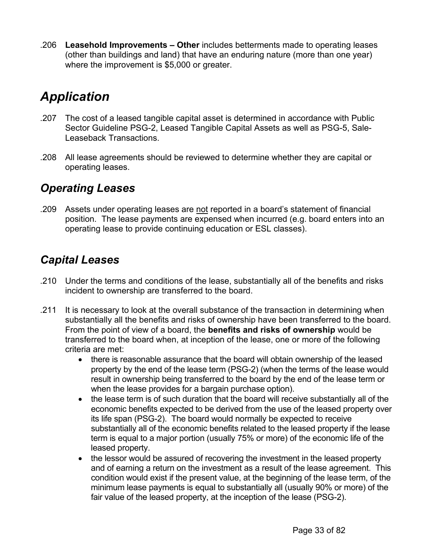<span id="page-32-0"></span>.206 **Leasehold Improvements – Other** includes betterments made to operating leases (other than buildings and land) that have an enduring nature (more than one year) where the improvement is \$5,000 or greater.

### *Application*

- .207 The cost of a leased tangible capital asset is determined in accordance with Public Sector Guideline PSG-2, Leased Tangible Capital Assets as well as PSG-5, Sale-Leaseback Transactions.
- .208 All lease agreements should be reviewed to determine whether they are capital or operating leases.

#### *Operating Leases*

.209 Assets under operating leases are not reported in a board's statement of financial position. The lease payments are expensed when incurred (e.g. board enters into an operating lease to provide continuing education or ESL classes).

### *Capital Leases*

- .210 Under the terms and conditions of the lease, substantially all of the benefits and risks incident to ownership are transferred to the board.
- .211 It is necessary to look at the overall substance of the transaction in determining when substantially all the benefits and risks of ownership have been transferred to the board. From the point of view of a board, the **benefits and risks of ownership** would be transferred to the board when, at inception of the lease, one or more of the following criteria are met:
	- there is reasonable assurance that the board will obtain ownership of the leased property by the end of the lease term (PSG-2) (when the terms of the lease would result in ownership being transferred to the board by the end of the lease term or when the lease provides for a bargain purchase option).
	- the lease term is of such duration that the board will receive substantially all of the economic benefits expected to be derived from the use of the leased property over its life span (PSG-2). The board would normally be expected to receive substantially all of the economic benefits related to the leased property if the lease term is equal to a major portion (usually 75% or more) of the economic life of the leased property.
	- the lessor would be assured of recovering the investment in the leased property and of earning a return on the investment as a result of the lease agreement. This condition would exist if the present value, at the beginning of the lease term, of the minimum lease payments is equal to substantially all (usually 90% or more) of the fair value of the leased property, at the inception of the lease (PSG-2).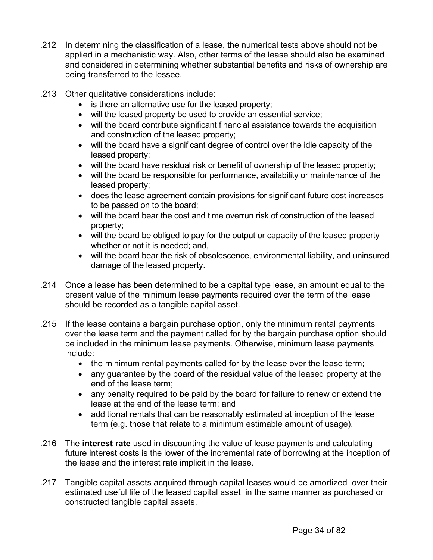- .212 In determining the classification of a lease, the numerical tests above should not be applied in a mechanistic way. Also, other terms of the lease should also be examined and considered in determining whether substantial benefits and risks of ownership are being transferred to the lessee.
- .213 Other qualitative considerations include:
	- is there an alternative use for the leased property;
	- will the leased property be used to provide an essential service;
	- will the board contribute significant financial assistance towards the acquisition and construction of the leased property;
	- will the board have a significant degree of control over the idle capacity of the leased property;
	- will the board have residual risk or benefit of ownership of the leased property;
	- will the board be responsible for performance, availability or maintenance of the leased property;
	- does the lease agreement contain provisions for significant future cost increases to be passed on to the board;
	- will the board bear the cost and time overrun risk of construction of the leased property;
	- will the board be obliged to pay for the output or capacity of the leased property whether or not it is needed; and,
	- will the board bear the risk of obsolescence, environmental liability, and uninsured damage of the leased property.
- .214 Once a lease has been determined to be a capital type lease, an amount equal to the present value of the minimum lease payments required over the term of the lease should be recorded as a tangible capital asset.
- .215 If the lease contains a bargain purchase option, only the minimum rental payments over the lease term and the payment called for by the bargain purchase option should be included in the minimum lease payments. Otherwise, minimum lease payments include:
	- the minimum rental payments called for by the lease over the lease term;
	- any guarantee by the board of the residual value of the leased property at the end of the lease term;
	- any penalty required to be paid by the board for failure to renew or extend the lease at the end of the lease term; and
	- additional rentals that can be reasonably estimated at inception of the lease term (e.g. those that relate to a minimum estimable amount of usage).
- .216 The **interest rate** used in discounting the value of lease payments and calculating future interest costs is the lower of the incremental rate of borrowing at the inception of the lease and the interest rate implicit in the lease.
- .217 Tangible capital assets acquired through capital leases would be amortized over their estimated useful life of the leased capital asset in the same manner as purchased or constructed tangible capital assets.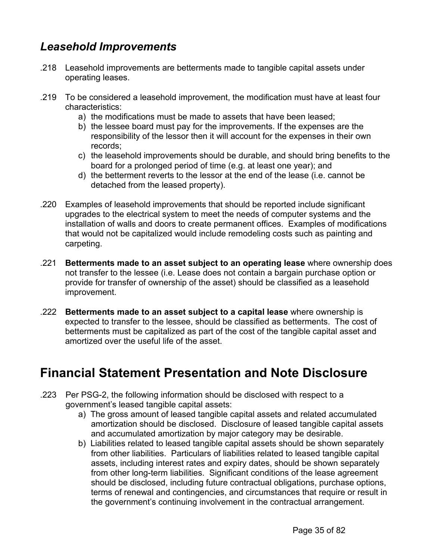### <span id="page-34-0"></span>*Leasehold Improvements*

- .218 Leasehold improvements are betterments made to tangible capital assets under operating leases.
- .219 To be considered a leasehold improvement, the modification must have at least four characteristics:
	- a) the modifications must be made to assets that have been leased;
	- b) the lessee board must pay for the improvements. If the expenses are the responsibility of the lessor then it will account for the expenses in their own records;
	- c) the leasehold improvements should be durable, and should bring benefits to the board for a prolonged period of time (e.g. at least one year); and
	- d) the betterment reverts to the lessor at the end of the lease (i.e. cannot be detached from the leased property).
- .220 Examples of leasehold improvements that should be reported include significant upgrades to the electrical system to meet the needs of computer systems and the installation of walls and doors to create permanent offices. Examples of modifications that would not be capitalized would include remodeling costs such as painting and carpeting.
- .221 **Betterments made to an asset subject to an operating lease** where ownership does not transfer to the lessee (i.e. Lease does not contain a bargain purchase option or provide for transfer of ownership of the asset) should be classified as a leasehold improvement.
- .222 **Betterments made to an asset subject to a capital lease** where ownership is expected to transfer to the lessee, should be classified as betterments. The cost of betterments must be capitalized as part of the cost of the tangible capital asset and amortized over the useful life of the asset.

### **Financial Statement Presentation and Note Disclosure**

- .223 Per PSG-2, the following information should be disclosed with respect to a government's leased tangible capital assets:
	- a) The gross amount of leased tangible capital assets and related accumulated amortization should be disclosed. Disclosure of leased tangible capital assets and accumulated amortization by major category may be desirable.
	- b) Liabilities related to leased tangible capital assets should be shown separately from other liabilities. Particulars of liabilities related to leased tangible capital assets, including interest rates and expiry dates, should be shown separately from other long-term liabilities. Significant conditions of the lease agreement should be disclosed, including future contractual obligations, purchase options, terms of renewal and contingencies, and circumstances that require or result in the government's continuing involvement in the contractual arrangement.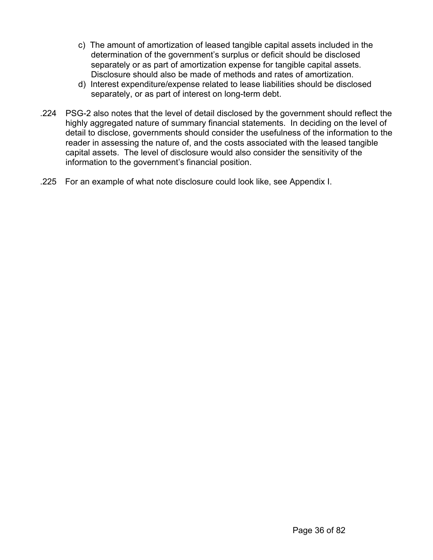- c) The amount of amortization of leased tangible capital assets included in the determination of the government's surplus or deficit should be disclosed separately or as part of amortization expense for tangible capital assets. Disclosure should also be made of methods and rates of amortization.
- d) Interest expenditure/expense related to lease liabilities should be disclosed separately, or as part of interest on long-term debt.
- .224 PSG-2 also notes that the level of detail disclosed by the government should reflect the highly aggregated nature of summary financial statements. In deciding on the level of detail to disclose, governments should consider the usefulness of the information to the reader in assessing the nature of, and the costs associated with the leased tangible capital assets. The level of disclosure would also consider the sensitivity of the information to the government's financial position.
- .225 For an example of what note disclosure could look like, see Appendix I.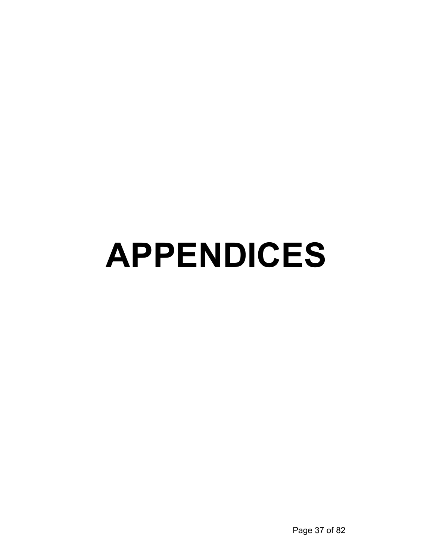# **APPENDICES**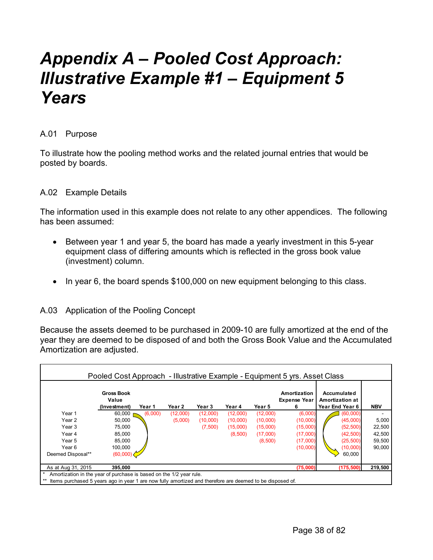## *Appendix A – Pooled Cost Approach: Illustrative Example #1 – Equipment 5 Years*

### A.01 Purpose

To illustrate how the pooling method works and the related journal entries that would be posted by boards.

#### A.02 Example Details

The information used in this example does not relate to any other appendices. The following has been assumed:

- Between year 1 and year 5, the board has made a yearly investment in this 5-year equipment class of differing amounts which is reflected in the gross book value (investment) column.
- In year 6, the board spends \$100,000 on new equipment belonging to this class.

### A.03 Application of the Pooling Concept

Because the assets deemed to be purchased in 2009-10 are fully amortized at the end of the year they are deemed to be disposed of and both the Gross Book Value and the Accumulated Amortization are adjusted.

|                                                                     | Pooled Cost Approach - Illustrative Example - Equipment 5 yrs. Asset Class                                |         |          |          |          |          |                                          |                                                          |            |
|---------------------------------------------------------------------|-----------------------------------------------------------------------------------------------------------|---------|----------|----------|----------|----------|------------------------------------------|----------------------------------------------------------|------------|
|                                                                     | <b>Gross Book</b><br>Value<br>(Investment)                                                                | Year 1  | Year 2   | Year 3   | Year 4   | Year 5   | Amortization<br><b>Expense Year</b><br>6 | Accumulated<br><b>Amortization at</b><br>Year End Year 6 | <b>NBV</b> |
| Year 1                                                              | 60,000                                                                                                    | (6,000) | (12,000) | (12,000) | (12,000) | (12,000) | (6,000)                                  | (60,000)                                                 |            |
| Year 2                                                              | 50,000                                                                                                    |         | (5,000)  | (10,000) | (10,000) | (10,000) | (10,000)                                 | (45,000)                                                 | 5,000      |
| Year 3                                                              | 75,000                                                                                                    |         |          | (7,500)  | (15,000) | (15,000) | (15,000)                                 | (52, 500)                                                | 22,500     |
| Year 4                                                              | 85,000                                                                                                    |         |          |          | (8,500)  | (17,000) | (17,000)                                 | (42, 500)                                                | 42,500     |
| Year 5                                                              | 85,000                                                                                                    |         |          |          |          | (8,500)  | (17,000)                                 | (25, 500)                                                | 59,500     |
| Year 6                                                              | 100,000                                                                                                   |         |          |          |          |          | (10,000)                                 | (10,000)                                                 | 90,000     |
| Deemed Disposal**                                                   | (60,000)                                                                                                  |         |          |          |          |          |                                          | 60,000                                                   |            |
| 219,500<br>(75,000)<br>(175, 500)<br>As at Aug 31, 2015<br>395.000  |                                                                                                           |         |          |          |          |          |                                          |                                                          |            |
| Amortization in the year of purchase is based on the 1/2 year rule. |                                                                                                           |         |          |          |          |          |                                          |                                                          |            |
|                                                                     | Items purchased 5 years ago in year 1 are now fully amortized and therefore are deemed to be disposed of. |         |          |          |          |          |                                          |                                                          |            |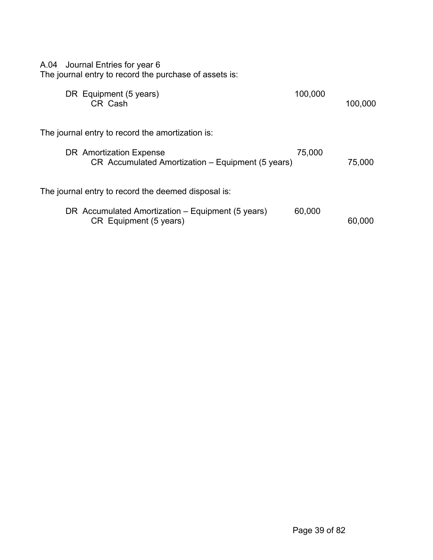| A.04 Journal Entries for year 6<br>The journal entry to record the purchase of assets is: |         |         |
|-------------------------------------------------------------------------------------------|---------|---------|
| DR Equipment (5 years)<br>CR Cash                                                         | 100,000 | 100,000 |
| The journal entry to record the amortization is:                                          |         |         |
| DR Amortization Expense<br>CR Accumulated Amortization - Equipment (5 years)              | 75,000  | 75,000  |
| The journal entry to record the deemed disposal is:                                       |         |         |
| DR Accumulated Amortization – Equipment (5 years)<br>CR Equipment (5 years)               | 60,000  | 60.000  |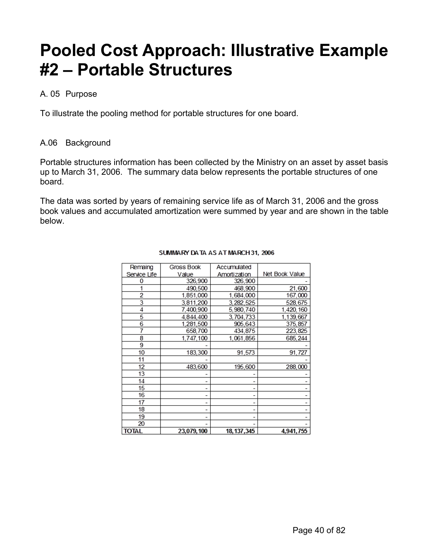## **Pooled Cost Approach: Illustrative Example #2 – Portable Structures**

### A. 05 Purpose

To illustrate the pooling method for portable structures for one board.

## A.06 Background

Portable structures information has been collected by the Ministry on an asset by asset basis up to March 31, 2006. The summary data below represents the portable structures of one board.

The data was sorted by years of remaining service life as of March 31, 2006 and the gross book values and accumulated amortization were summed by year and are shown in the table below.

| Remaing      | Gross Book | Accumulated  |                |
|--------------|------------|--------------|----------------|
| Service Life | Value      | Amortization | Net Book Value |
| 0            | 326,900    | 326,900      |                |
|              | 490,500    | 468,900      | 21,600         |
| 2            | 1,851,000  | 1,684,000    | 167,000        |
| 3            | 3,811,200  | 3, 282, 525  | 528,675        |
| 4            | 7,400,900  | 5,980,740    | 1,420,160      |
| 5            | 4,844,400  | 3,704,733    | 1,139,667      |
| 6            | 1,281,500  | 905,643      | 375, 857       |
| 7            | 658,700    | 434,875      | 223, 825       |
| 8            | 1.747.100  | 1,061,856    | 685,244        |
| 9            |            |              |                |
| 10           | 183,300    | 91.573       | 91.727         |
| 11           |            |              |                |
| 12           | 483,600    | 195,600      | 288,000        |
| 13           |            |              |                |
| 14           |            |              |                |
| 15           |            | -            |                |
| 16           |            | ۰            |                |
| 17           |            | ۰            |                |
| 18           |            | ۰            |                |
| 19           |            |              |                |
| 20           |            |              |                |
| <b>TOTAL</b> | 23.079.100 | 18, 137, 345 | 4.941.755      |

#### SUMMARY DATA AS AT MARCH 31, 2006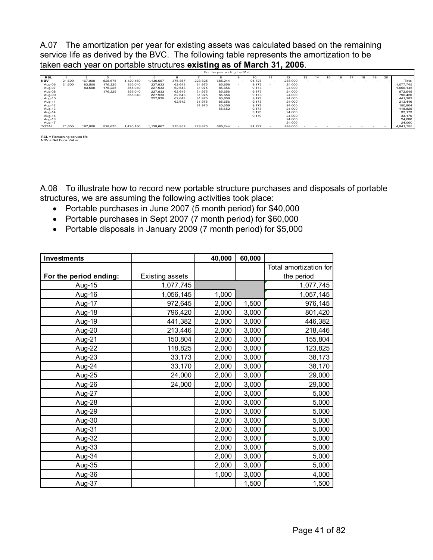A.07 The amortization per year for existing assets was calculated based on the remaining service life as derived by the BVC. The following table represents the amortization to be taken each year on portable structures existing as of March 31, 2006.

|              | For the year ending the 31st |         |         |           |          |         |         |         |        |         |    |     |    |    |    |                          |           |
|--------------|------------------------------|---------|---------|-----------|----------|---------|---------|---------|--------|---------|----|-----|----|----|----|--------------------------|-----------|
| RSL          |                              |         |         |           |          |         |         |         | 10     | 12      | 14 | ، 5 | 16 | 18 | 19 | 20                       |           |
| <b>NBV</b>   | 21.600                       | 167.000 | 528.675 | 1.420.160 | .139.667 | 375.857 | 223.825 | 685.244 | 91.727 | 288,000 |    |     |    |    |    |                          | Total     |
| Aug-06       | 21,600                       | 83,500  | 176,225 | 355,040   | 227,933  | 62,643  | 31,975  | 85,656  | 9,173  | 24,000  |    |     |    |    |    |                          | 1,077,745 |
| Aug-07       |                              | 83,500  | 176.225 | 355.040   | 227.933  | 62,643  | 31,975  | 85.656  | 9,173  | 24,000  |    |     |    |    |    |                          | 1,056,145 |
| Aug-08       |                              |         | 176,225 | 355,040   | 227.933  | 62,643  | 31.975  | 85.656  | 9,173  | 24,000  |    |     |    |    |    |                          | 972,645   |
| Aug-09       |                              |         |         | 355,040   | 227,933  | 62,643  | 31,975  | 85,656  | 9,173  | 24,000  |    |     |    |    |    |                          | 796.420   |
| Aug-10       |                              |         |         |           | 227,935  | 62,643  | 31,975  | 85,656  | 9,173  | 24,000  |    |     |    |    |    |                          | 441,382   |
| Aug-11       |                              |         |         |           |          | 62,642  | 31,975  | 85.656  | 9,173  | 24,000  |    |     |    |    |    |                          | 213,446   |
| Aug-12       |                              |         |         |           |          |         | 31,975  | 85,656  | 9,173  | 24,000  |    |     |    |    |    |                          | 150,804   |
| Aug-13       |                              |         |         |           |          |         |         | 85,652  | 9,173  | 24.000  |    |     |    |    |    |                          | 118,825   |
| Aug-14       |                              |         |         |           |          |         |         |         | 9,173  | 24,000  |    |     |    |    |    |                          | 33.173    |
| Aug-15       |                              |         |         |           |          |         |         |         | 9,170  | 24,000  |    |     |    |    |    |                          | 33.170    |
| Aug-16       |                              |         |         |           |          |         |         |         |        | 24.000  |    |     |    |    |    |                          | 24,000    |
| Aug-17       |                              |         |         |           |          |         |         |         |        | 24,000  |    |     |    |    |    |                          | 24,000    |
| <b>TOTAL</b> | 21,600                       | 167,000 | 528.675 | 1.420.160 | .139.667 | 375,857 | 223.825 | 685.244 | 91.727 | 288,000 |    |     |    |    |    | $\overline{\phantom{0}}$ | 4.941.755 |

RSL = Remaining service life NBV = Net Book Value

A.08 To illustrate how to record new portable structure purchases and disposals of portable structures, we are assuming the following activities took place:

- Portable purchases in June 2007 (5 month period) for \$40,000
- Portable purchases in Sept 2007 (7 month period) for \$60,000
- Portable disposals in January 2009 (7 month period) for \$5,000

| <b>Investments</b>     |                        | 40,000 | 60,000 |                        |
|------------------------|------------------------|--------|--------|------------------------|
|                        |                        |        |        | Total amortization for |
| For the period ending: | <b>Existing assets</b> |        |        | the period             |
| Aug-15                 | 1,077,745              |        |        | 1,077,745              |
| Aug-16                 | 1,056,145              | 1,000  |        | 1,057,145              |
| Aug-17                 | 972,645                | 2,000  | 1,500  | 976,145                |
| Aug-18                 | 796,420                | 2,000  | 3,000  | 801,420                |
| Aug-19                 | 441,382                | 2,000  | 3,000  | 446,382                |
| Aug-20                 | 213,446                | 2,000  | 3,000  | 218,446                |
| Aug-21                 | 150,804                | 2,000  | 3,000  | 155,804                |
| Aug-22                 | 118,825                | 2,000  | 3,000  | 123,825                |
| Aug-23                 | 33,173                 | 2,000  | 3,000  | 38,173                 |
| Aug-24                 | 33,170                 | 2,000  | 3,000  | 38,170                 |
| Aug-25                 | 24,000                 | 2,000  | 3,000  | 29,000                 |
| Aug-26                 | 24,000                 | 2,000  | 3,000  | 29,000                 |
| Aug-27                 |                        | 2,000  | 3,000  | 5,000                  |
| Aug-28                 |                        | 2,000  | 3,000  | 5,000                  |
| Aug-29                 |                        | 2,000  | 3,000  | 5,000                  |
| Aug-30                 |                        | 2,000  | 3,000  | 5,000                  |
| Aug-31                 |                        | 2,000  | 3,000  | 5,000                  |
| Aug-32                 |                        | 2,000  | 3,000  | 5,000                  |
| Aug-33                 |                        | 2,000  | 3,000  | 5,000                  |
| Aug-34                 |                        | 2,000  | 3,000  | 5,000                  |
| Aug-35                 |                        | 2,000  | 3,000  | 5,000                  |
| Aug-36                 |                        | 1,000  | 3,000  | 4,000                  |
| Aug-37                 |                        |        | 1,500  | 1,500                  |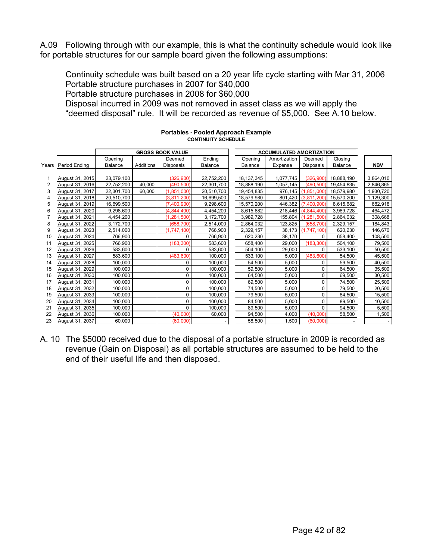A.09 Following through with our example, this is what the continuity schedule would look like for portable structures for our sample board given the following assumptions:

Continuity schedule was built based on a 20 year life cycle starting with Mar 31, 2006 Portable structure purchases in 2007 for \$40,000 Portable structure purchases in 2008 for \$60,000 Disposal incurred in 2009 was not removed in asset class as we will apply the "deemed disposal" rule. It will be recorded as revenue of \$5,000. See A.10 below.

|    |                     | <b>GROSS BOOK VALUE</b> |           |                  | <b>ACCUMULATED AMORTIZATION</b> |                |              |               |                |  |            |
|----|---------------------|-------------------------|-----------|------------------|---------------------------------|----------------|--------------|---------------|----------------|--|------------|
|    |                     | Opening                 |           | Deemed           | Ending                          | Opening        | Amortization | Deemed        | Closing        |  |            |
|    | Years Period Ending | <b>Balance</b>          | Additions | <b>Disposals</b> | Balance                         | <b>Balance</b> | Expense      | Disposals     | <b>Balance</b> |  | <b>NBV</b> |
|    |                     |                         |           |                  |                                 |                |              |               |                |  |            |
|    | August 31, 2015     | 23,079,100              |           | (326, 900)       | 22,752,200                      | 18, 137, 345   | 1,077,745    | (326,900)     | 18,888,190     |  | 3,864,010  |
| 2  | August 31, 2016     | 22,752,200              | 40,000    | (490, 500)       | 22,301,700                      | 18,888,190     | 1,057,145    | (490, 500)    | 19,454,835     |  | 2,846,865  |
| 3  | August 31, 2017     | 22,301,700              | 60,000    | (1, 851, 000)    | 20,510,700                      | 19,454,835     | 976,145      | (1, 851, 000) | 18,579,980     |  | 1,930,720  |
|    | August 31, 2018     | 20.510.700              |           | (3.811.200)      | 16.699.500                      | 18.579.980     | 801,420      | (3.811.200)   | 15.570.200     |  | 1,129,300  |
| 5  | August 31, 2019     | 16,699,500              |           | (7,400,900)      | 9,298,600                       | 15,570,200     | 446,382      | (7,400,900)   | 8,615,682      |  | 682,918    |
| 6  | August 31, 2020     | 9,298,600               |           | (4, 844, 400)    | 4,454,200                       | 8.615.682      | 218,446      | (4,844,400)   | 3.989.728      |  | 464,472    |
|    | August 31, 2021     | 4,454,200               |           | (1, 281, 500)    | 3,172,700                       | 3,989,728      | 155,804      | (1.281.500)   | 2,864,032      |  | 308,668    |
| 8  | August 31, 2022     | 3,172,700               |           | (658, 700)       | 2,514,000                       | 2,864,032      | 123,825      | (658, 700)    | 2,329,157      |  | 184,843    |
| 9  | August 31, 2023     | 2,514,000               |           | (1,747,100)      | 766,900                         | 2,329,157      | 38,173       | (1,747,100)   | 620,230        |  | 146,670    |
| 10 | August 31, 2024     | 766,900                 |           | $\Omega$         | 766,900                         | 620,230        | 38,170       | $\Omega$      | 658,400        |  | 108,500    |
| 11 | August 31, 2025     | 766,900                 |           | (183, 300)       | 583,600                         | 658,400        | 29,000       | (183, 300)    | 504,100        |  | 79,500     |
| 12 | August 31, 2026     | 583,600                 |           | $\Omega$         | 583,600                         | 504,100        | 29,000       | 0             | 533,100        |  | 50,500     |
| 13 | August 31, 2027     | 583,600                 |           | (483.600)        | 100,000                         | 533,100        | 5,000        | (483, 600)    | 54,500         |  | 45,500     |
| 14 | August 31, 2028     | 100.000                 |           | $\Omega$         | 100,000                         | 54,500         | 5,000        | 0             | 59,500         |  | 40,500     |
| 15 | August 31, 2029     | 100,000                 |           | $\mathbf 0$      | 100,000                         | 59,500         | 5,000        | 0             | 64,500         |  | 35,500     |
| 16 | August 31, 2030     | 100,000                 |           | $\Omega$         | 100,000                         | 64,500         | 5,000        | 0             | 69,500         |  | 30,500     |
| 17 | August 31, 2031     | 100,000                 |           | $\Omega$         | 100,000                         | 69.500         | 5,000        | 0             | 74,500         |  | 25,500     |
| 18 | August 31, 2032     | 100,000                 |           | $\mathbf 0$      | 100,000                         | 74,500         | 5,000        | 0             | 79,500         |  | 20,500     |
| 19 | August 31, 2033     | 100,000                 |           | 0                | 100,000                         | 79,500         | 5,000        | 0             | 84,500         |  | 15,500     |
| 20 | August 31, 2034     | 100,000                 |           | $\Omega$         | 100,000                         | 84,500         | 5,000        | 0             | 89,500         |  | 10,500     |
| 21 | August 31, 2035     | 100,000                 |           | $\Omega$         | 100,000                         | 89,500         | 5,000        | 0             | 94,500         |  | 5,500      |
| 22 | August 31, 2036     | 100,000                 |           | (40,000)         | 60,000                          | 94,500         | 4,000        | (40,000)      | 58,500         |  | 1,500      |
| 23 | August 31, 2037     | 60,000                  |           | (60,000)         |                                 | 58,500         | 1,500        | (60,000)      |                |  |            |

#### **Portables - Pooled Approach Example CONTINUITY SCHEDULE**

A. 10 The \$5000 received due to the disposal of a portable structure in 2009 is recorded as revenue (Gain on Disposal) as all portable structures are assumed to be held to the end of their useful life and then disposed.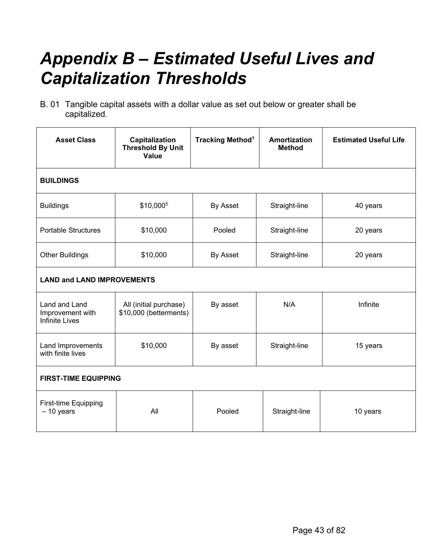## *Appendix B – Estimated Useful Lives and Capitalization Thresholds*

B. 01 Tangible capital assets with a dollar value as set out below or greater shall be capitalized.

| <b>Asset Class</b>                                         | Capitalization<br><b>Threshold By Unit</b><br>Value | <b>Tracking Method<sup>1</sup></b> | <b>Amortization</b><br><b>Method</b> | <b>Estimated Useful Life</b> |  |  |
|------------------------------------------------------------|-----------------------------------------------------|------------------------------------|--------------------------------------|------------------------------|--|--|
| <b>BUILDINGS</b>                                           |                                                     |                                    |                                      |                              |  |  |
| <b>Buildings</b>                                           | \$10,0005                                           | By Asset                           | Straight-line                        | 40 years                     |  |  |
| <b>Portable Structures</b>                                 | \$10,000                                            | Pooled<br>Straight-line            |                                      | 20 years                     |  |  |
| \$10,000<br><b>Other Buildings</b>                         |                                                     | By Asset<br>Straight-line          |                                      | 20 years                     |  |  |
| <b>LAND and LAND IMPROVEMENTS</b>                          |                                                     |                                    |                                      |                              |  |  |
| Land and Land<br>Improvement with<br><b>Infinite Lives</b> | All (initial purchase)<br>\$10,000 (betterments)    | By asset                           | N/A                                  | Infinite                     |  |  |
| Land Improvements<br>with finite lives                     | \$10,000                                            | By asset                           | Straight-line                        | 15 years                     |  |  |
| <b>FIRST-TIME EQUIPPING</b>                                |                                                     |                                    |                                      |                              |  |  |
| First-time Equipping<br>$-10$ years                        | All                                                 | Pooled                             | Straight-line                        | 10 years                     |  |  |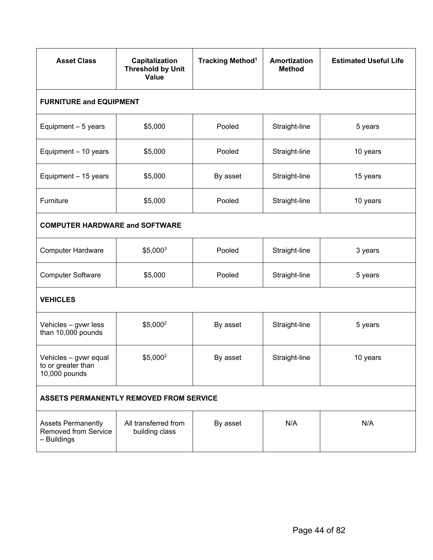| <b>Asset Class</b>                                                                                                | Capitalization<br><b>Threshold by Unit</b><br>Value | <b>Tracking Method<sup>1</sup></b> | Amortization<br><b>Method</b> | <b>Estimated Useful Life</b> |  |  |  |  |
|-------------------------------------------------------------------------------------------------------------------|-----------------------------------------------------|------------------------------------|-------------------------------|------------------------------|--|--|--|--|
| <b>FURNITURE and EQUIPMENT</b>                                                                                    |                                                     |                                    |                               |                              |  |  |  |  |
| Equipment - 5 years                                                                                               | \$5,000                                             | Pooled                             | Straight-line                 | 5 years                      |  |  |  |  |
| Equipment - 10 years                                                                                              | \$5,000<br>Pooled<br>Straight-line                  |                                    | 10 years                      |                              |  |  |  |  |
| Equipment - 15 years                                                                                              | \$5,000                                             | By asset                           | Straight-line                 | 15 years                     |  |  |  |  |
| Furniture<br>\$5,000                                                                                              |                                                     | Pooled                             | Straight-line                 | 10 years                     |  |  |  |  |
| <b>COMPUTER HARDWARE and SOFTWARE</b>                                                                             |                                                     |                                    |                               |                              |  |  |  |  |
| <b>Computer Hardware</b>                                                                                          | $$5,000^3$                                          | Pooled                             | Straight-line                 | 3 years                      |  |  |  |  |
| <b>Computer Software</b>                                                                                          | \$5,000                                             | Pooled                             | Straight-line                 | 5 years                      |  |  |  |  |
| <b>VEHICLES</b>                                                                                                   |                                                     |                                    |                               |                              |  |  |  |  |
| Vehicles - gvwr less<br>than 10,000 pounds                                                                        | \$5,000 <sup>2</sup>                                | By asset                           | Straight-line                 | 5 years                      |  |  |  |  |
| Vehicles - gvwr equal<br>to or greater than<br>10,000 pounds                                                      | \$5,000 <sup>2</sup>                                | By asset                           | Straight-line                 | 10 years                     |  |  |  |  |
| <b>ASSETS PERMANENTLY REMOVED FROM SERVICE</b>                                                                    |                                                     |                                    |                               |                              |  |  |  |  |
| All transferred from<br><b>Assets Permanently</b><br><b>Removed from Service</b><br>building class<br>- Buildings |                                                     | By asset                           | N/A                           | N/A                          |  |  |  |  |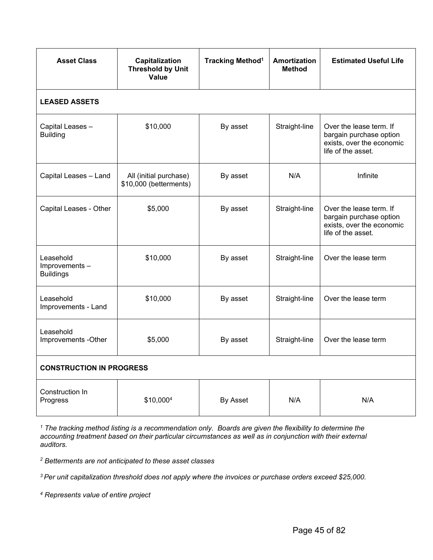| <b>Asset Class</b>                             | Capitalization<br><b>Threshold by Unit</b><br><b>Value</b> | <b>Tracking Method<sup>1</sup></b> | <b>Amortization</b><br><b>Method</b> | <b>Estimated Useful Life</b>                                                                          |  |  |  |  |  |
|------------------------------------------------|------------------------------------------------------------|------------------------------------|--------------------------------------|-------------------------------------------------------------------------------------------------------|--|--|--|--|--|
| <b>LEASED ASSETS</b>                           |                                                            |                                    |                                      |                                                                                                       |  |  |  |  |  |
| Capital Leases -<br><b>Building</b>            | \$10,000                                                   | By asset                           | Straight-line                        | Over the lease term. If<br>bargain purchase option<br>exists, over the economic<br>life of the asset. |  |  |  |  |  |
| Capital Leases - Land                          | All (initial purchase)<br>\$10,000 (betterments)           | By asset                           | N/A                                  | Infinite                                                                                              |  |  |  |  |  |
| Capital Leases - Other                         | \$5,000                                                    | By asset                           | Straight-line                        | Over the lease term. If<br>bargain purchase option<br>exists, over the economic<br>life of the asset. |  |  |  |  |  |
| Leasehold<br>Improvements-<br><b>Buildings</b> | \$10,000                                                   | By asset                           | Straight-line                        | Over the lease term                                                                                   |  |  |  |  |  |
| Leasehold<br>Improvements - Land               | \$10,000                                                   | By asset                           | Straight-line                        | Over the lease term                                                                                   |  |  |  |  |  |
| Leasehold<br>Improvements -Other               | \$5,000                                                    | By asset                           | Straight-line                        | Over the lease term                                                                                   |  |  |  |  |  |
| <b>CONSTRUCTION IN PROGRESS</b>                |                                                            |                                    |                                      |                                                                                                       |  |  |  |  |  |
| Construction In<br>Progress                    | \$10,0004                                                  | By Asset                           | N/A                                  | N/A                                                                                                   |  |  |  |  |  |

<sup>1</sup> The tracking method listing is a recommendation only. Boards are given the flexibility to determine the *accounting treatment based on their particular circumstances as well as in conjunction with their external auditors.* 

*<sup>2</sup> Betterments are not anticipated to these asset classes*

*3 Per unit capitalization threshold does not apply where the invoices or purchase orders exceed \$25,000.* 

*<sup>4</sup> Represents value of entire project*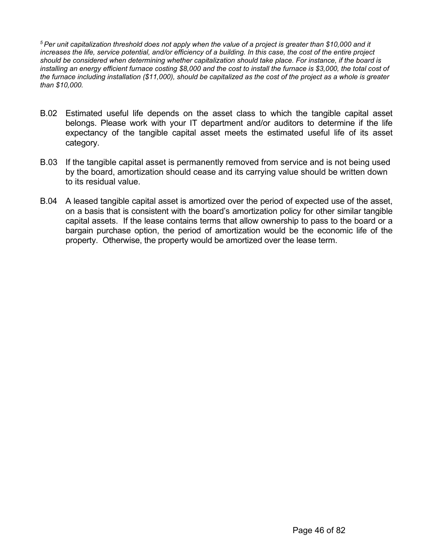*5 Per unit capitalization threshold does not apply when the value of a project is greater than \$10,000 and it increases the life, service potential, and/or efficiency of a building. In this case, the cost of the entire project should be considered when determining whether capitalization should take place. For instance, if the board is installing an energy efficient furnace costing \$8,000 and the cost to install the furnace is \$3,000, the total cost of the furnace including installation (\$11,000), should be capitalized as the cost of the project as a whole is greater than \$10,000.* 

- B.02 Estimated useful life depends on the asset class to which the tangible capital asset belongs. Please work with your IT department and/or auditors to determine if the life expectancy of the tangible capital asset meets the estimated useful life of its asset category.
- B.03 If the tangible capital asset is permanently removed from service and is not being used by the board, amortization should cease and its carrying value should be written down to its residual value.
- B.04 A leased tangible capital asset is amortized over the period of expected use of the asset, on a basis that is consistent with the board's amortization policy for other similar tangible capital assets. If the lease contains terms that allow ownership to pass to the board or a bargain purchase option, the period of amortization would be the economic life of the property. Otherwise, the property would be amortized over the lease term.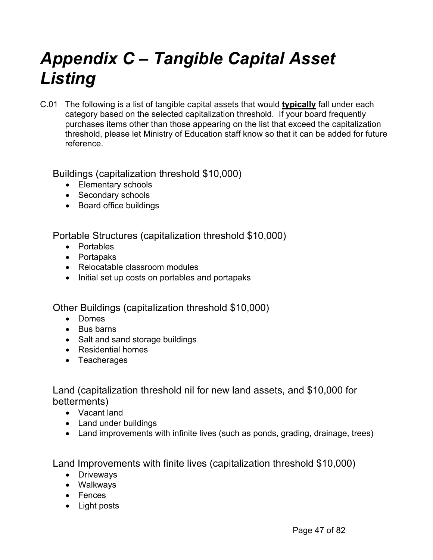## *Appendix C – Tangible Capital Asset Listing*

C.01 The following is a list of tangible capital assets that would **typically** fall under each category based on the selected capitalization threshold. If your board frequently purchases items other than those appearing on the list that exceed the capitalization threshold, please let Ministry of Education staff know so that it can be added for future reference.

## Buildings (capitalization threshold \$10,000)

- Elementary schools
- Secondary schools
- Board office buildings

Portable Structures (capitalization threshold \$10,000)

- Portables
- Portapaks
- Relocatable classroom modules
- Initial set up costs on portables and portapaks

Other Buildings (capitalization threshold \$10,000)

- Domes
- Bus barns
- Salt and sand storage buildings
- Residential homes
- Teacherages

Land (capitalization threshold nil for new land assets, and \$10,000 for betterments)

- Vacant land
- Land under buildings
- Land improvements with infinite lives (such as ponds, grading, drainage, trees)

Land Improvements with finite lives (capitalization threshold \$10,000)

- Driveways
- Walkways
- Fences
- Light posts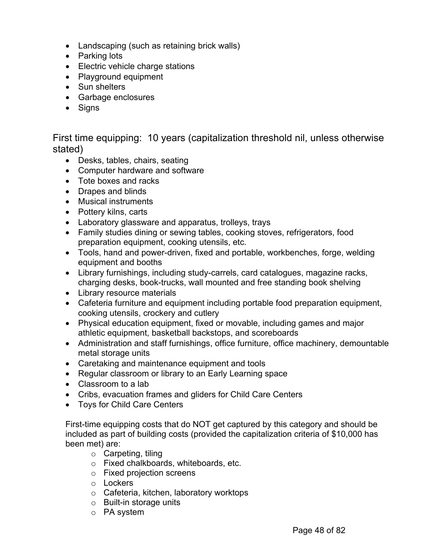- Landscaping (such as retaining brick walls)
- Parking lots
- Electric vehicle charge stations
- Playground equipment
- Sun shelters
- Garbage enclosures
- Signs

First time equipping: 10 years (capitalization threshold nil, unless otherwise stated)

- Desks, tables, chairs, seating
- Computer hardware and software
- Tote boxes and racks
- Drapes and blinds
- Musical instruments
- Pottery kilns, carts
- Laboratory glassware and apparatus, trolleys, trays
- Family studies dining or sewing tables, cooking stoves, refrigerators, food preparation equipment, cooking utensils, etc.
- Tools, hand and power-driven, fixed and portable, workbenches, forge, welding equipment and booths
- Library furnishings, including study-carrels, card catalogues, magazine racks, charging desks, book-trucks, wall mounted and free standing book shelving
- Library resource materials
- Cafeteria furniture and equipment including portable food preparation equipment, cooking utensils, crockery and cutlery
- Physical education equipment, fixed or movable, including games and major athletic equipment, basketball backstops, and scoreboards
- Administration and staff furnishings, office furniture, office machinery, demountable metal storage units
- Caretaking and maintenance equipment and tools
- Regular classroom or library to an Early Learning space
- Classroom to a lab
- Cribs, evacuation frames and gliders for Child Care Centers
- Toys for Child Care Centers

First-time equipping costs that do NOT get captured by this category and should be included as part of building costs (provided the capitalization criteria of \$10,000 has been met) are:

- o Carpeting, tiling
- o Fixed chalkboards, whiteboards, etc.
- o Fixed projection screens
- o Lockers
- o Cafeteria, kitchen, laboratory worktops
- o Built-in storage units
- o PA system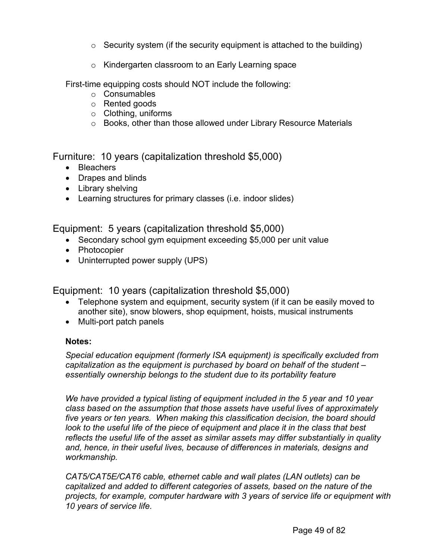- $\circ$  Security system (if the security equipment is attached to the building)
- o Kindergarten classroom to an Early Learning space

First-time equipping costs should NOT include the following:

- o Consumables
- o Rented goods
- o Clothing, uniforms
- o Books, other than those allowed under Library Resource Materials

Furniture: 10 years (capitalization threshold \$5,000)

- Bleachers
- Drapes and blinds
- Library shelving
- Learning structures for primary classes (i.e. indoor slides)

Equipment: 5 years (capitalization threshold \$5,000)

- Secondary school gym equipment exceeding \$5,000 per unit value
- Photocopier
- Uninterrupted power supply (UPS)

Equipment: 10 years (capitalization threshold \$5,000)

- Telephone system and equipment, security system (if it can be easily moved to another site), snow blowers, shop equipment, hoists, musical instruments
- Multi-port patch panels

## **Notes:**

*Special education equipment (formerly ISA equipment) is specifically excluded from capitalization as the equipment is purchased by board on behalf of the student – essentially ownership belongs to the student due to its portability feature*

*We have provided a typical listing of equipment included in the 5 year and 10 year class based on the assumption that those assets have useful lives of approximately five years or ten years. When making this classification decision, the board should look to the useful life of the piece of equipment and place it in the class that best reflects the useful life of the asset as similar assets may differ substantially in quality and, hence, in their useful lives, because of differences in materials, designs and workmanship.*

*CAT5/CAT5E/CAT6 cable, ethernet cable and wall plates (LAN outlets) can be capitalized and added to different categories of assets, based on the nature of the projects, for example, computer hardware with 3 years of service life or equipment with 10 years of service life.*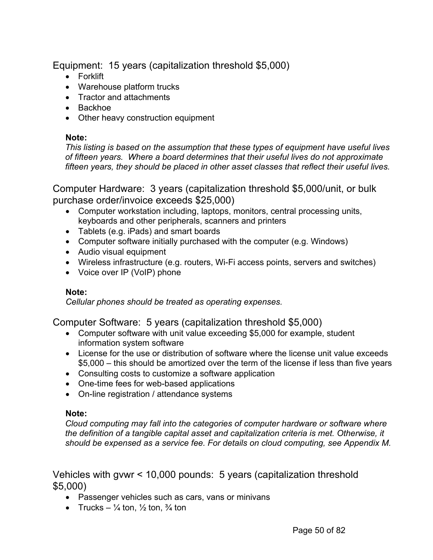Equipment: 15 years (capitalization threshold \$5,000)

- Forklift
- Warehouse platform trucks
- Tractor and attachments
- Backhoe
- Other heavy construction equipment

## **Note:**

*This listing is based on the assumption that these types of equipment have useful lives of fifteen years. Where a board determines that their useful lives do not approximate fifteen years, they should be placed in other asset classes that reflect their useful lives.*

Computer Hardware: 3 years (capitalization threshold \$5,000/unit, or bulk purchase order/invoice exceeds \$25,000)

- Computer workstation including, laptops, monitors, central processing units, keyboards and other peripherals, scanners and printers
- Tablets (e.g. iPads) and smart boards
- Computer software initially purchased with the computer (e.g. Windows)
- Audio visual equipment
- Wireless infrastructure (e.g. routers, Wi-Fi access points, servers and switches)
- Voice over IP (VoIP) phone

### **Note:**

*Cellular phones should be treated as operating expenses.*

Computer Software: 5 years (capitalization threshold \$5,000)

- Computer software with unit value exceeding \$5,000 for example, student information system software
- License for the use or distribution of software where the license unit value exceeds \$5,000 – this should be amortized over the term of the license if less than five years
- Consulting costs to customize a software application
- One-time fees for web-based applications
- On-line registration / attendance systems

### **Note:**

*Cloud computing may fall into the categories of computer hardware or software where the definition of a tangible capital asset and capitalization criteria is met. Otherwise, it should be expensed as a service fee. For details on cloud computing, see Appendix M.* 

Vehicles with gvwr < 10,000 pounds: 5 years (capitalization threshold \$5,000)

- Passenger vehicles such as cars, vans or minivans
- Trucks  $\frac{1}{4}$  ton,  $\frac{1}{2}$  ton,  $\frac{3}{4}$  ton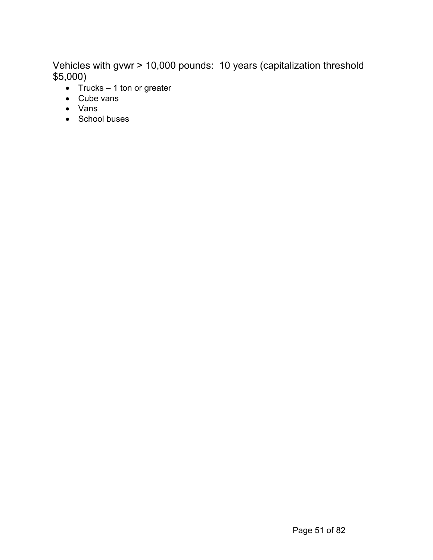Vehicles with gvwr > 10,000 pounds: 10 years (capitalization threshold \$5,000)

- $Trucks 1$  ton or greater
- Cube vans
- Vans
- School buses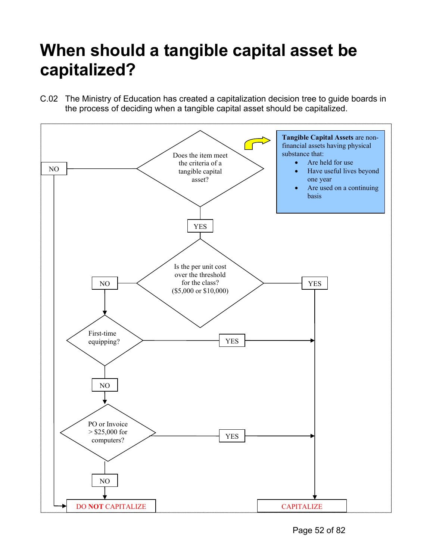## **When should a tangible capital asset be capitalized?**

C.02 The Ministry of Education has created a capitalization decision tree to guide boards in the process of deciding when a tangible capital asset should be capitalized.

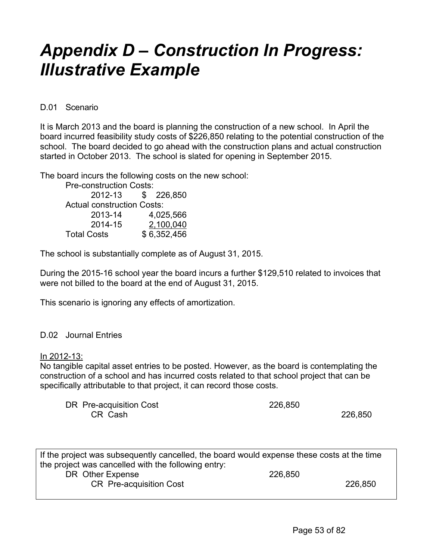## *Appendix D – Construction In Progress: Illustrative Example*

D.01 Scenario

It is March 2013 and the board is planning the construction of a new school. In April the board incurred feasibility study costs of \$226,850 relating to the potential construction of the school. The board decided to go ahead with the construction plans and actual construction started in October 2013. The school is slated for opening in September 2015.

The board incurs the following costs on the new school:

Pre-construction Costs: 2012-13 \$ 226,850 Actual construction Costs: 2013-14 4,025,566 2014-15 <u>2,100,040</u> Total Costs \$ 6,352,456

The school is substantially complete as of August 31, 2015.

During the 2015-16 school year the board incurs a further \$129,510 related to invoices that were not billed to the board at the end of August 31, 2015.

This scenario is ignoring any effects of amortization.

## D.02 Journal Entries

#### In 2012-13:

No tangible capital asset entries to be posted. However, as the board is contemplating the construction of a school and has incurred costs related to that school project that can be specifically attributable to that project, it can record those costs.

DR Pre-acquisition Cost 226,850 CR Cash 226,850

| If the project was subsequently cancelled, the board would expense these costs at the time |         |         |  |  |
|--------------------------------------------------------------------------------------------|---------|---------|--|--|
| the project was cancelled with the following entry:                                        |         |         |  |  |
| DR Other Expense                                                                           | 226,850 |         |  |  |
| <b>CR</b> Pre-acquisition Cost                                                             |         | 226,850 |  |  |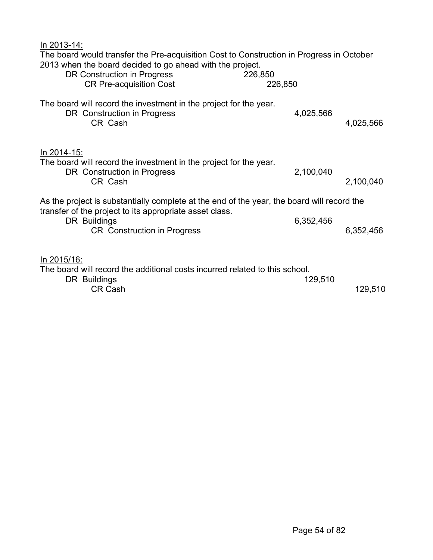| In 2013-14:<br>The board would transfer the Pre-acquisition Cost to Construction in Progress in October<br>2013 when the board decided to go ahead with the project.<br>DR Construction in Progress<br><b>CR Pre-acquisition Cost</b> | 226,850<br>226,850 |           |
|---------------------------------------------------------------------------------------------------------------------------------------------------------------------------------------------------------------------------------------|--------------------|-----------|
| The board will record the investment in the project for the year.<br>DR Construction in Progress<br>CR Cash                                                                                                                           | 4,025,566          | 4,025,566 |
| <u>In 2014-15:</u><br>The board will record the investment in the project for the year.<br>DR Construction in Progress<br>CR Cash                                                                                                     | 2,100,040          | 2,100,040 |
| As the project is substantially complete at the end of the year, the board will record the<br>transfer of the project to its appropriate asset class.                                                                                 |                    |           |
| DR Buildings<br><b>CR</b> Construction in Progress                                                                                                                                                                                    | 6,352,456          | 6,352,456 |
| <u>In 2015/16:</u><br>The board will record the additional costs incurred related to this school.<br>DR Buildings<br><b>CR Cash</b>                                                                                                   | 129,510            | 129,510   |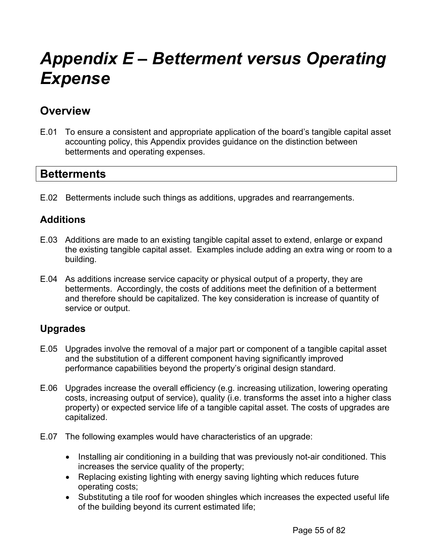## *Appendix E – Betterment versus Operating Expense*

## **Overview**

E.01 To ensure a consistent and appropriate application of the board's tangible capital asset accounting policy, this Appendix provides guidance on the distinction between betterments and operating expenses.

## **Betterments**

E.02 Betterments include such things as additions, upgrades and rearrangements.

## **Additions**

- E.03 Additions are made to an existing tangible capital asset to extend, enlarge or expand the existing tangible capital asset. Examples include adding an extra wing or room to a building.
- E.04 As additions increase service capacity or physical output of a property, they are betterments. Accordingly, the costs of additions meet the definition of a betterment and therefore should be capitalized. The key consideration is increase of quantity of service or output.

## **Upgrades**

- E.05 Upgrades involve the removal of a major part or component of a tangible capital asset and the substitution of a different component having significantly improved performance capabilities beyond the property's original design standard.
- E.06 Upgrades increase the overall efficiency (e.g. increasing utilization, lowering operating costs, increasing output of service), quality (i.e. transforms the asset into a higher class property) or expected service life of a tangible capital asset. The costs of upgrades are capitalized.
- E.07 The following examples would have characteristics of an upgrade:
	- Installing air conditioning in a building that was previously not-air conditioned. This increases the service quality of the property;
	- Replacing existing lighting with energy saving lighting which reduces future operating costs;
	- Substituting a tile roof for wooden shingles which increases the expected useful life of the building beyond its current estimated life;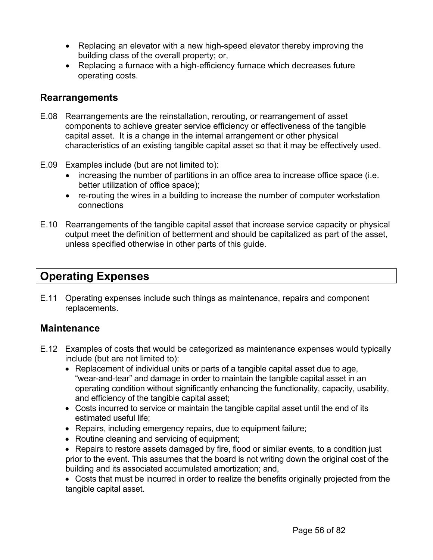- Replacing an elevator with a new high-speed elevator thereby improving the building class of the overall property; or,
- Replacing a furnace with a high-efficiency furnace which decreases future operating costs.

## **Rearrangements**

- E.08 Rearrangements are the reinstallation, rerouting, or rearrangement of asset components to achieve greater service efficiency or effectiveness of the tangible capital asset. It is a change in the internal arrangement or other physical characteristics of an existing tangible capital asset so that it may be effectively used.
- E.09 Examples include (but are not limited to):
	- increasing the number of partitions in an office area to increase office space (i.e. better utilization of office space);
	- re-routing the wires in a building to increase the number of computer workstation connections
- E.10 Rearrangements of the tangible capital asset that increase service capacity or physical output meet the definition of betterment and should be capitalized as part of the asset, unless specified otherwise in other parts of this guide.

## **Operating Expenses**

E.11 Operating expenses include such things as maintenance, repairs and component replacements.

## **Maintenance**

- E.12 Examples of costs that would be categorized as maintenance expenses would typically include (but are not limited to):
	- Replacement of individual units or parts of a tangible capital asset due to age, "wear-and-tear" and damage in order to maintain the tangible capital asset in an operating condition without significantly enhancing the functionality, capacity, usability, and efficiency of the tangible capital asset;
	- Costs incurred to service or maintain the tangible capital asset until the end of its estimated useful life;
	- Repairs, including emergency repairs, due to equipment failure;
	- Routine cleaning and servicing of equipment;
	- Repairs to restore assets damaged by fire, flood or similar events, to a condition just prior to the event. This assumes that the board is not writing down the original cost of the building and its associated accumulated amortization; and,

• Costs that must be incurred in order to realize the benefits originally projected from the tangible capital asset.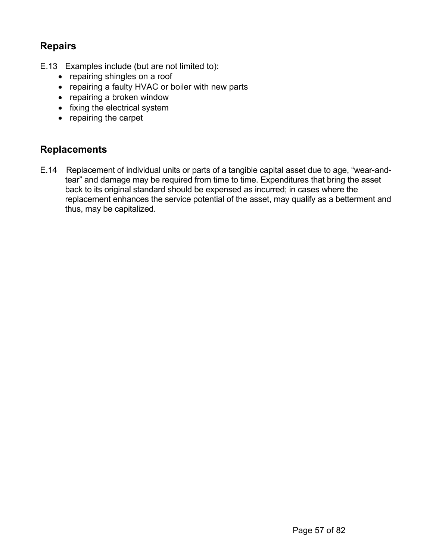## **Repairs**

- E.13 Examples include (but are not limited to):
	- repairing shingles on a roof
	- repairing a faulty HVAC or boiler with new parts
	- repairing a broken window
	- fixing the electrical system
	- repairing the carpet

## **Replacements**

E.14 Replacement of individual units or parts of a tangible capital asset due to age, "wear-andtear" and damage may be required from time to time. Expenditures that bring the asset back to its original standard should be expensed as incurred; in cases where the replacement enhances the service potential of the asset, may qualify as a betterment and thus, may be capitalized.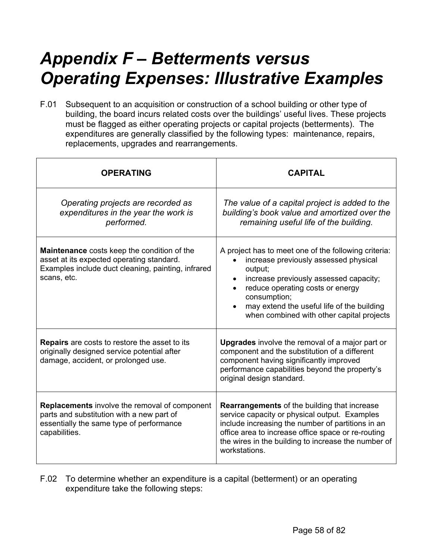## *Appendix F – Betterments versus Operating Expenses: Illustrative Examples*

F.01 Subsequent to an acquisition or construction of a school building or other type of building, the board incurs related costs over the buildings' useful lives. These projects must be flagged as either operating projects or capital projects (betterments). The expenditures are generally classified by the following types: maintenance, repairs, replacements, upgrades and rearrangements.

| <b>OPERATING</b>                                                                                                                                                     | <b>CAPITAL</b>                                                                                                                                                                                                                                                                                    |
|----------------------------------------------------------------------------------------------------------------------------------------------------------------------|---------------------------------------------------------------------------------------------------------------------------------------------------------------------------------------------------------------------------------------------------------------------------------------------------|
| Operating projects are recorded as<br>expenditures in the year the work is<br>performed.                                                                             | The value of a capital project is added to the<br>building's book value and amortized over the<br>remaining useful life of the building.                                                                                                                                                          |
| <b>Maintenance</b> costs keep the condition of the<br>asset at its expected operating standard.<br>Examples include duct cleaning, painting, infrared<br>scans, etc. | A project has to meet one of the following criteria:<br>increase previously assessed physical<br>output;<br>increase previously assessed capacity;<br>reduce operating costs or energy<br>consumption;<br>may extend the useful life of the building<br>when combined with other capital projects |
| <b>Repairs</b> are costs to restore the asset to its<br>originally designed service potential after<br>damage, accident, or prolonged use.                           | <b>Upgrades</b> involve the removal of a major part or<br>component and the substitution of a different<br>component having significantly improved<br>performance capabilities beyond the property's<br>original design standard.                                                                 |
| <b>Replacements</b> involve the removal of component<br>parts and substitution with a new part of<br>essentially the same type of performance<br>capabilities.       | <b>Rearrangements</b> of the building that increase<br>service capacity or physical output. Examples<br>include increasing the number of partitions in an<br>office area to increase office space or re-routing<br>the wires in the building to increase the number of<br>workstations.           |

F.02 To determine whether an expenditure is a capital (betterment) or an operating expenditure take the following steps: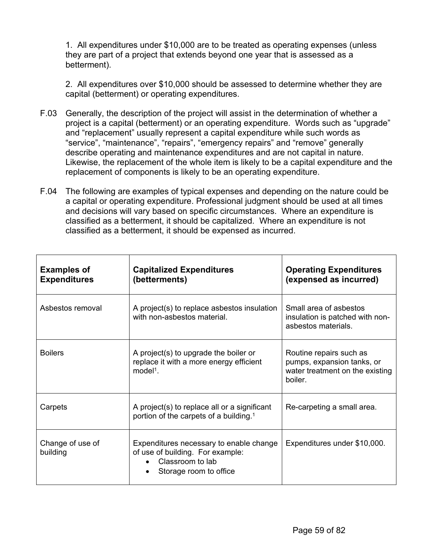1. All expenditures under \$10,000 are to be treated as operating expenses (unless they are part of a project that extends beyond one year that is assessed as a betterment).

2. All expenditures over \$10,000 should be assessed to determine whether they are capital (betterment) or operating expenditures.

- F.03 Generally, the description of the project will assist in the determination of whether a project is a capital (betterment) or an operating expenditure. Words such as "upgrade" and "replacement" usually represent a capital expenditure while such words as "service", "maintenance", "repairs", "emergency repairs" and "remove" generally describe operating and maintenance expenditures and are not capital in nature. Likewise, the replacement of the whole item is likely to be a capital expenditure and the replacement of components is likely to be an operating expenditure.
- F.04 The following are examples of typical expenses and depending on the nature could be a capital or operating expenditure. Professional judgment should be used at all times and decisions will vary based on specific circumstances. Where an expenditure is classified as a betterment, it should be capitalized. Where an expenditure is not classified as a betterment, it should be expensed as incurred.

| <b>Examples of</b><br><b>Expenditures</b> | <b>Capitalized Expenditures</b><br>(betterments)                                                                          | <b>Operating Expenditures</b><br>(expensed as incurred)                                             |
|-------------------------------------------|---------------------------------------------------------------------------------------------------------------------------|-----------------------------------------------------------------------------------------------------|
| Asbestos removal                          | A project(s) to replace asbestos insulation<br>with non-asbestos material.                                                | Small area of asbestos<br>insulation is patched with non-<br>asbestos materials.                    |
| <b>Boilers</b>                            | A project(s) to upgrade the boiler or<br>replace it with a more energy efficient<br>$model1$ .                            | Routine repairs such as<br>pumps, expansion tanks, or<br>water treatment on the existing<br>boiler. |
| Carpets                                   | A project(s) to replace all or a significant<br>portion of the carpets of a building. <sup>1</sup>                        | Re-carpeting a small area.                                                                          |
| Change of use of<br>building              | Expenditures necessary to enable change<br>of use of building. For example:<br>Classroom to lab<br>Storage room to office | Expenditures under \$10,000.                                                                        |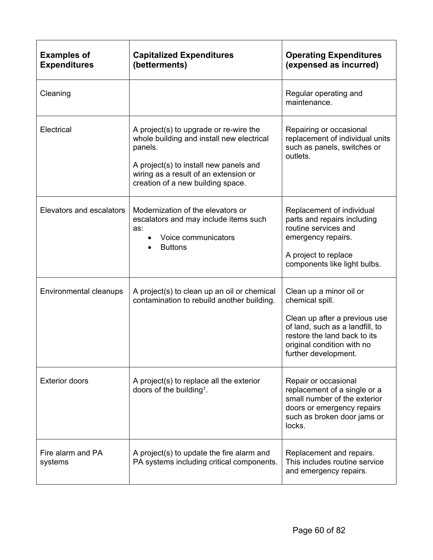| <b>Examples of</b><br><b>Expenditures</b> | <b>Capitalized Expenditures</b><br>(betterments)                                                                                                                                                                       | <b>Operating Expenditures</b><br>(expensed as incurred)                                                                                                                                              |
|-------------------------------------------|------------------------------------------------------------------------------------------------------------------------------------------------------------------------------------------------------------------------|------------------------------------------------------------------------------------------------------------------------------------------------------------------------------------------------------|
| Cleaning                                  |                                                                                                                                                                                                                        | Regular operating and<br>maintenance.                                                                                                                                                                |
| Electrical                                | A project(s) to upgrade or re-wire the<br>whole building and install new electrical<br>panels.<br>A project(s) to install new panels and<br>wiring as a result of an extension or<br>creation of a new building space. | Repairing or occasional<br>replacement of individual units<br>such as panels, switches or<br>outlets.                                                                                                |
| Elevators and escalators                  | Modernization of the elevators or<br>escalators and may include items such<br>as:<br>Voice communicators<br><b>Buttons</b>                                                                                             | Replacement of individual<br>parts and repairs including<br>routine services and<br>emergency repairs.<br>A project to replace<br>components like light bulbs.                                       |
| Environmental cleanups                    | A project(s) to clean up an oil or chemical<br>contamination to rebuild another building.                                                                                                                              | Clean up a minor oil or<br>chemical spill.<br>Clean up after a previous use<br>of land, such as a landfill, to<br>restore the land back to its<br>original condition with no<br>further development. |
| <b>Exterior doors</b>                     | A project(s) to replace all the exterior<br>doors of the building <sup>1</sup> .                                                                                                                                       | Repair or occasional<br>replacement of a single or a<br>small number of the exterior<br>doors or emergency repairs<br>such as broken door jams or<br>locks.                                          |
| Fire alarm and PA<br>systems              | A project(s) to update the fire alarm and<br>PA systems including critical components.                                                                                                                                 | Replacement and repairs.<br>This includes routine service<br>and emergency repairs.                                                                                                                  |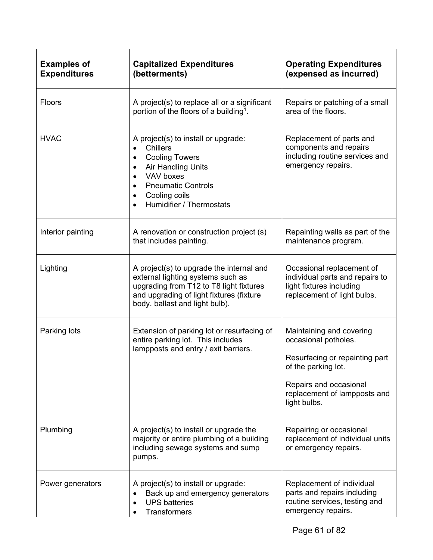| <b>Examples of</b><br><b>Expenditures</b> | <b>Capitalized Expenditures</b><br>(betterments)                                                                                                                                                                                                                                        | <b>Operating Expenditures</b><br>(expensed as incurred)                                                                                                                             |  |  |  |  |  |
|-------------------------------------------|-----------------------------------------------------------------------------------------------------------------------------------------------------------------------------------------------------------------------------------------------------------------------------------------|-------------------------------------------------------------------------------------------------------------------------------------------------------------------------------------|--|--|--|--|--|
| Floors                                    | A project(s) to replace all or a significant<br>Repairs or patching of a small<br>area of the floors.<br>portion of the floors of a building <sup>1</sup> .                                                                                                                             |                                                                                                                                                                                     |  |  |  |  |  |
| <b>HVAC</b>                               | A project(s) to install or upgrade:<br><b>Chillers</b><br>$\bullet$<br><b>Cooling Towers</b><br>$\bullet$<br>Air Handling Units<br>$\bullet$<br>VAV boxes<br>$\bullet$<br><b>Pneumatic Controls</b><br>$\bullet$<br>Cooling coils<br>$\bullet$<br>Humidifier / Thermostats<br>$\bullet$ | Replacement of parts and<br>components and repairs<br>including routine services and<br>emergency repairs.                                                                          |  |  |  |  |  |
| Interior painting                         | A renovation or construction project (s)<br>that includes painting.                                                                                                                                                                                                                     | Repainting walls as part of the<br>maintenance program.                                                                                                                             |  |  |  |  |  |
| Lighting                                  | A project(s) to upgrade the internal and<br>external lighting systems such as<br>upgrading from T12 to T8 light fixtures<br>and upgrading of light fixtures (fixture<br>body, ballast and light bulb).                                                                                  | Occasional replacement of<br>individual parts and repairs to<br>light fixtures including<br>replacement of light bulbs.                                                             |  |  |  |  |  |
| Parking lots                              | Extension of parking lot or resurfacing of<br>entire parking lot. This includes<br>lampposts and entry / exit barriers.                                                                                                                                                                 | Maintaining and covering<br>occasional potholes.<br>Resurfacing or repainting part<br>of the parking lot.<br>Repairs and occasional<br>replacement of lampposts and<br>light bulbs. |  |  |  |  |  |
| Plumbing                                  | A project(s) to install or upgrade the<br>Repairing or occasional<br>majority or entire plumbing of a building<br>replacement of individual units<br>including sewage systems and sump<br>or emergency repairs.<br>pumps.                                                               |                                                                                                                                                                                     |  |  |  |  |  |
| Power generators                          | Replacement of individual<br>A project(s) to install or upgrade:<br>parts and repairs including<br>Back up and emergency generators<br>routine services, testing and<br><b>UPS</b> batteries<br>$\bullet$<br>emergency repairs.<br><b>Transformers</b>                                  |                                                                                                                                                                                     |  |  |  |  |  |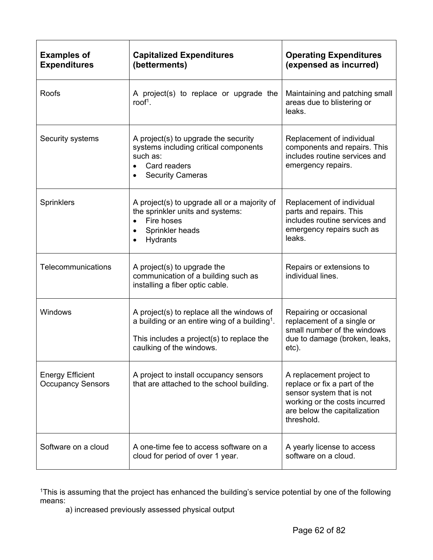| <b>Examples of</b><br><b>Expenditures</b>           | <b>Capitalized Expenditures</b><br>(betterments)                                                                                                                                 | <b>Operating Expenditures</b><br>(expensed as incurred)                                                                                                              |
|-----------------------------------------------------|----------------------------------------------------------------------------------------------------------------------------------------------------------------------------------|----------------------------------------------------------------------------------------------------------------------------------------------------------------------|
| <b>Roofs</b>                                        | A project(s) to replace or upgrade the<br>roof <sup>1</sup> .                                                                                                                    | Maintaining and patching small<br>areas due to blistering or<br>leaks.                                                                                               |
| Security systems                                    | A project(s) to upgrade the security<br>systems including critical components<br>such as:<br>Card readers<br>$\bullet$<br><b>Security Cameras</b><br>$\bullet$                   | Replacement of individual<br>components and repairs. This<br>includes routine services and<br>emergency repairs.                                                     |
| <b>Sprinklers</b>                                   | A project(s) to upgrade all or a majority of<br>the sprinkler units and systems:<br>Fire hoses<br>$\bullet$<br>Sprinkler heads<br>$\bullet$<br>Hydrants                          | Replacement of individual<br>parts and repairs. This<br>includes routine services and<br>emergency repairs such as<br>leaks.                                         |
| Telecommunications                                  | A project(s) to upgrade the<br>communication of a building such as<br>installing a fiber optic cable.                                                                            | Repairs or extensions to<br>individual lines.                                                                                                                        |
| Windows                                             | A project(s) to replace all the windows of<br>a building or an entire wing of a building <sup>1</sup> .<br>This includes a project(s) to replace the<br>caulking of the windows. | Repairing or occasional<br>replacement of a single or<br>small number of the windows<br>due to damage (broken, leaks,<br>etc).                                       |
| <b>Energy Efficient</b><br><b>Occupancy Sensors</b> | A project to install occupancy sensors<br>that are attached to the school building.                                                                                              | A replacement project to<br>replace or fix a part of the<br>sensor system that is not<br>working or the costs incurred<br>are below the capitalization<br>threshold. |
| Software on a cloud                                 | A one-time fee to access software on a<br>cloud for period of over 1 year.                                                                                                       | A yearly license to access<br>software on a cloud.                                                                                                                   |

1This is assuming that the project has enhanced the building's service potential by one of the following means:

a) increased previously assessed physical output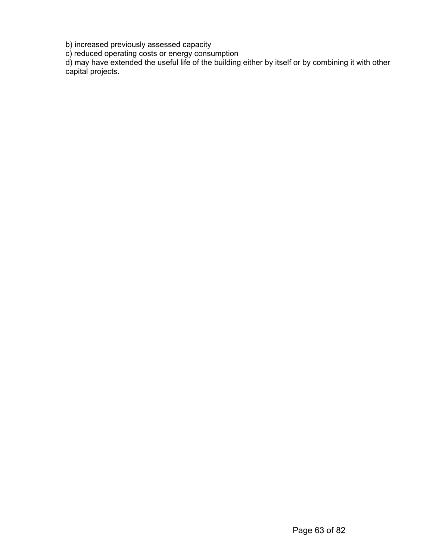b) increased previously assessed capacity

c) reduced operating costs or energy consumption

d) may have extended the useful life of the building either by itself or by combining it with other capital projects.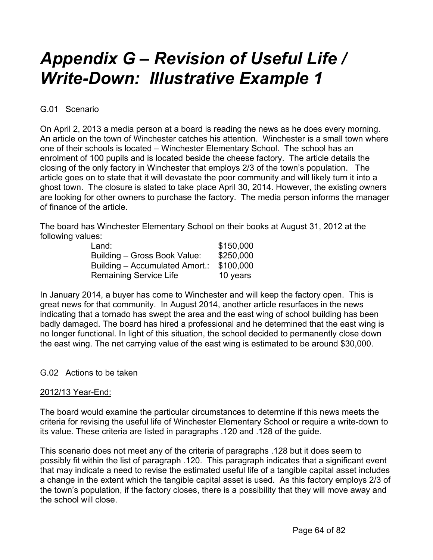## *Appendix G – Revision of Useful Life / Write-Down: Illustrative Example 1*

## G.01 Scenario

On April 2, 2013 a media person at a board is reading the news as he does every morning. An article on the town of Winchester catches his attention. Winchester is a small town where one of their schools is located – Winchester Elementary School. The school has an enrolment of 100 pupils and is located beside the cheese factory. The article details the closing of the only factory in Winchester that employs 2/3 of the town's population. The article goes on to state that it will devastate the poor community and will likely turn it into a ghost town. The closure is slated to take place April 30, 2014. However, the existing owners are looking for other owners to purchase the factory. The media person informs the manager of finance of the article.

The board has Winchester Elementary School on their books at August 31, 2012 at the following values:

| Land:                          | \$150,000 |
|--------------------------------|-----------|
| Building - Gross Book Value:   | \$250,000 |
| Building - Accumulated Amort.: | \$100,000 |
| <b>Remaining Service Life</b>  | 10 years  |

In January 2014, a buyer has come to Winchester and will keep the factory open. This is great news for that community. In August 2014, another article resurfaces in the news indicating that a tornado has swept the area and the east wing of school building has been badly damaged. The board has hired a professional and he determined that the east wing is no longer functional. In light of this situation, the school decided to permanently close down the east wing. The net carrying value of the east wing is estimated to be around \$30,000.

### G.02 Actions to be taken

### 2012/13 Year-End:

The board would examine the particular circumstances to determine if this news meets the criteria for revising the useful life of Winchester Elementary School or require a write-down to its value. These criteria are listed in paragraphs .120 and .128 of the guide.

This scenario does not meet any of the criteria of paragraphs .128 but it does seem to possibly fit within the list of paragraph .120. This paragraph indicates that a significant event that may indicate a need to revise the estimated useful life of a tangible capital asset includes a change in the extent which the tangible capital asset is used. As this factory employs 2/3 of the town's population, if the factory closes, there is a possibility that they will move away and the school will close.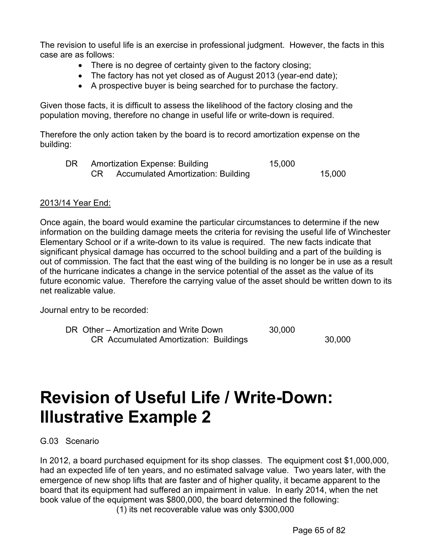The revision to useful life is an exercise in professional judgment. However, the facts in this case are as follows:

- There is no degree of certainty given to the factory closing;
- The factory has not yet closed as of August 2013 (year-end date);
- A prospective buyer is being searched for to purchase the factory.

Given those facts, it is difficult to assess the likelihood of the factory closing and the population moving, therefore no change in useful life or write-down is required.

Therefore the only action taken by the board is to record amortization expense on the building:

|  | Amortization Expense: Building        | 15,000 |        |
|--|---------------------------------------|--------|--------|
|  | CR Accumulated Amortization: Building |        | 15,000 |

### 2013/14 Year End:

Once again, the board would examine the particular circumstances to determine if the new information on the building damage meets the criteria for revising the useful life of Winchester Elementary School or if a write-down to its value is required. The new facts indicate that significant physical damage has occurred to the school building and a part of the building is out of commission. The fact that the east wing of the building is no longer be in use as a result of the hurricane indicates a change in the service potential of the asset as the value of its future economic value. Therefore the carrying value of the asset should be written down to its net realizable value.

Journal entry to be recorded:

DR Other – Amortization and Write Down 30,000 CR Accumulated Amortization: Buildings 30,000

## **Revision of Useful Life / Write-Down: Illustrative Example 2**

G.03 Scenario

In 2012, a board purchased equipment for its shop classes. The equipment cost \$1,000,000, had an expected life of ten years, and no estimated salvage value. Two years later, with the emergence of new shop lifts that are faster and of higher quality, it became apparent to the board that its equipment had suffered an impairment in value. In early 2014, when the net book value of the equipment was \$800,000, the board determined the following: (1) its net recoverable value was only \$300,000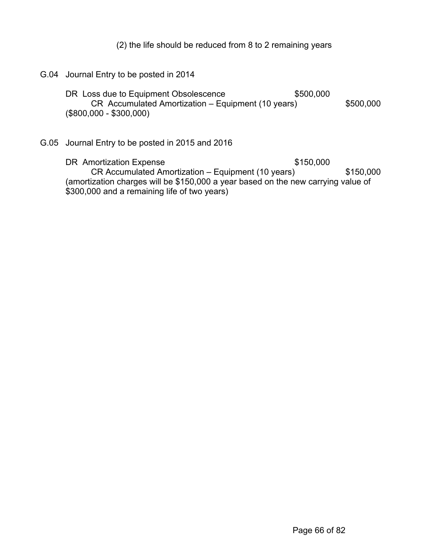(2) the life should be reduced from 8 to 2 remaining years

G.04 Journal Entry to be posted in 2014 DR Loss due to Equipment Obsolescence  $$500,000$ CR Accumulated Amortization – Equipment (10 years) \$500,000 (\$800,000 - \$300,000)

G.05 Journal Entry to be posted in 2015 and 2016

DR Amortization Expense \$150,000 CR Accumulated Amortization – Equipment (10 years) \$150,000 (amortization charges will be \$150,000 a year based on the new carrying value of \$300,000 and a remaining life of two years)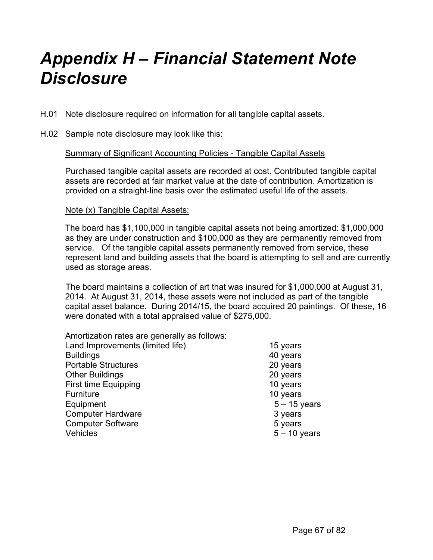## *Appendix H – Financial Statement Note Disclosure*

- H.01 Note disclosure required on information for all tangible capital assets.
- H.02 Sample note disclosure may look like this:

### Summary of Significant Accounting Policies - Tangible Capital Assets

Purchased tangible capital assets are recorded at cost. Contributed tangible capital assets are recorded at fair market value at the date of contribution. Amortization is provided on a straight-line basis over the estimated useful life of the assets.

### Note (x) Tangible Capital Assets:

The board has \$1,100,000 in tangible capital assets not being amortized: \$1,000,000 as they are under construction and \$100,000 as they are permanently removed from service. Of the tangible capital assets permanently removed from service, these represent land and building assets that the board is attempting to sell and are currently used as storage areas.

 The board maintains a collection of art that was insured for \$1,000,000 at August 31, 2014. At August 31, 2014, these assets were not included as part of the tangible capital asset balance. During 2014/15, the board acquired 20 paintings. Of these, 16 were donated with a total appraised value of \$275,000.

| Amortization rates are generally as follows: |                |
|----------------------------------------------|----------------|
| Land Improvements (limited life)             | 15 years       |
| <b>Buildings</b>                             | 40 years       |
| <b>Portable Structures</b>                   | 20 years       |
| <b>Other Buildings</b>                       | 20 years       |
| <b>First time Equipping</b>                  | 10 years       |
| Furniture                                    | 10 years       |
| Equipment                                    | $5 - 15$ years |
| <b>Computer Hardware</b>                     | 3 years        |
| <b>Computer Software</b>                     | 5 years        |
| <b>Vehicles</b>                              | $5 - 10$ years |
|                                              |                |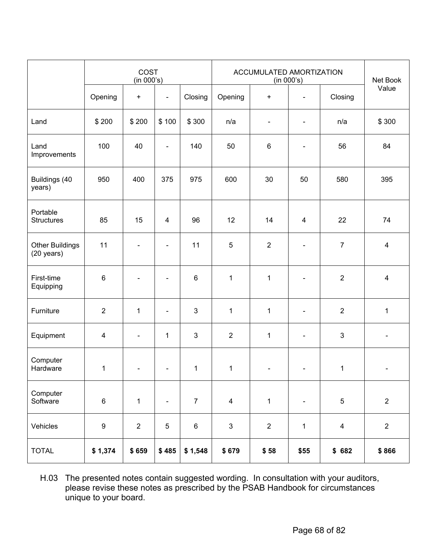|                                                | COST<br>(in 000's) |                          |                          | ACCUMULATED AMORTIZATION<br>(in 000's) |                         |                          |                          | Net Book                |                         |
|------------------------------------------------|--------------------|--------------------------|--------------------------|----------------------------------------|-------------------------|--------------------------|--------------------------|-------------------------|-------------------------|
|                                                | Opening            | $+$                      | $\blacksquare$           | Closing                                | Opening                 | $\ddot{}$                |                          | Closing                 | Value                   |
| Land                                           | \$200              | \$200                    | \$100                    | \$300                                  | n/a                     | $\overline{\phantom{a}}$ |                          | n/a                     | \$300                   |
| Land<br>Improvements                           | 100                | 40                       | $\blacksquare$           | 140                                    | 50                      | 6                        |                          | 56                      | 84                      |
| Buildings (40<br>years)                        | 950                | 400                      | 375                      | 975                                    | 600                     | 30                       | 50                       | 580                     | 395                     |
| Portable<br><b>Structures</b>                  | 85                 | 15                       | $\overline{4}$           | 96                                     | 12                      | 14                       | $\overline{4}$           | 22                      | 74                      |
| <b>Other Buildings</b><br>$(20 \text{ years})$ | 11                 |                          |                          | 11                                     | 5                       | $\overline{2}$           |                          | $\overline{7}$          | $\overline{4}$          |
| First-time<br>Equipping                        | $\,6\,$            |                          |                          | $\,6$                                  | 1                       | $\mathbf 1$              |                          | $\overline{2}$          | $\overline{\mathbf{4}}$ |
| Furniture                                      | $\overline{2}$     | $\mathbf 1$              | $\overline{\phantom{0}}$ | $\mathbf{3}$                           | 1                       | $\mathbf 1$              | -                        | $\overline{2}$          | $\mathbf{1}$            |
| Equipment                                      | $\overline{4}$     | $\overline{\phantom{a}}$ | $\mathbf{1}$             | $\mathbf{3}$                           | $\overline{2}$          | $\mathbf 1$              | -                        | 3                       |                         |
| Computer<br>Hardware                           | $\mathbf 1$        |                          |                          | $\mathbf{1}$                           | $\mathbf{1}$            |                          |                          | $\mathbf{1}$            |                         |
| Computer<br>Software                           | $\,6\,$            | $\mathbf 1$              | $\blacksquare$           | $\overline{7}$                         | $\overline{\mathbf{4}}$ | $\mathbf{1}$             | $\overline{\phantom{0}}$ | $\overline{5}$          | $\overline{2}$          |
| Vehicles                                       | $\boldsymbol{9}$   | $\overline{2}$           | $\sqrt{5}$               | $\,6\,$                                | $\mathfrak{S}$          | $\overline{2}$           | $\mathbf 1$              | $\overline{\mathbf{4}}$ | $\overline{2}$          |
| <b>TOTAL</b>                                   | \$1,374            | \$659                    | \$485                    | \$1,548                                | \$679                   | \$58                     | \$55                     | \$682                   | \$866                   |

H.03 The presented notes contain suggested wording. In consultation with your auditors, please revise these notes as prescribed by the PSAB Handbook for circumstances unique to your board.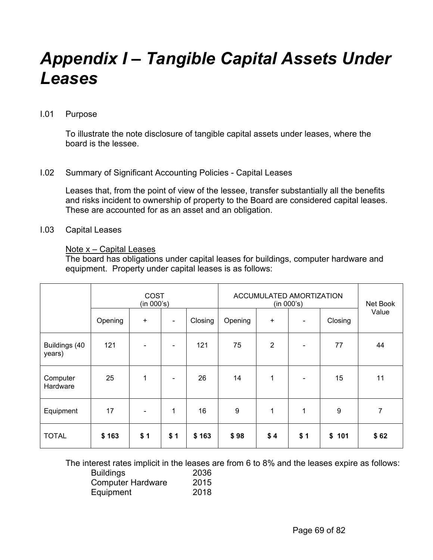## *Appendix I – Tangible Capital Assets Under Leases*

#### I.01 Purpose

To illustrate the note disclosure of tangible capital assets under leases, where the board is the lessee.

### I.02 Summary of Significant Accounting Policies - Capital Leases

Leases that, from the point of view of the lessee, transfer substantially all the benefits and risks incident to ownership of property to the Board are considered capital leases. These are accounted for as an asset and an obligation.

### I.03 Capital Leases

### Note  $x -$  Capital Leases

The board has obligations under capital leases for buildings, computer hardware and equipment. Property under capital leases is as follows:

|                         | COST<br>(in 000's) |           |              | ACCUMULATED AMORTIZATION<br>(in 000's) |         |                |                | Net Book |       |
|-------------------------|--------------------|-----------|--------------|----------------------------------------|---------|----------------|----------------|----------|-------|
|                         | Opening            | $\ddot{}$ |              | Closing                                | Opening | +              | $\blacksquare$ | Closing  | Value |
| Buildings (40<br>years) | 121                |           | ۰            | 121                                    | 75      | $\overline{2}$ | $\blacksquare$ | 77       | 44    |
| Computer<br>Hardware    | 25                 | 1         |              | 26                                     | 14      | 1              | $\blacksquare$ | 15       | 11    |
| Equipment               | 17                 |           | $\mathbf{1}$ | 16                                     | $9\,$   | 1              | 1              | 9        | 7     |
| <b>TOTAL</b>            | \$163              | \$1       | \$1          | \$163                                  | \$98    | \$4            | \$1            | \$101    | \$62  |

The interest rates implicit in the leases are from 6 to 8% and the leases expire as follows:

| <b>Buildings</b>         | 2036 |
|--------------------------|------|
| <b>Computer Hardware</b> | 2015 |
| Equipment                | 2018 |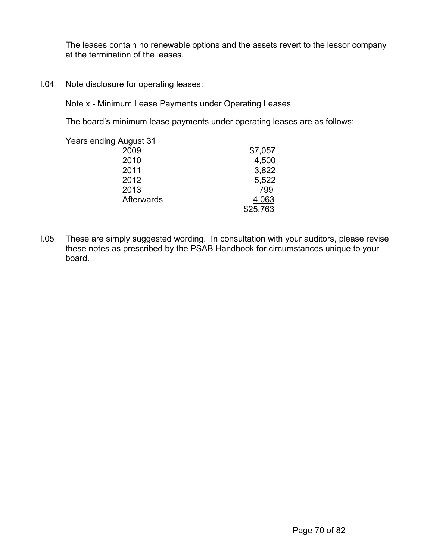The leases contain no renewable options and the assets revert to the lessor company at the termination of the leases.

I.04 Note disclosure for operating leases:

Note x - Minimum Lease Payments under Operating Leases

The board's minimum lease payments under operating leases are as follows:

| <b>Years ending August 31</b> |         |
|-------------------------------|---------|
| 2009                          | \$7,057 |
| 2010                          | 4,500   |
| 2011                          | 3,822   |
| 2012                          | 5,522   |
| 2013                          | 799     |
| Afterwards                    | 4,063   |
|                               | 25,763  |

I.05 These are simply suggested wording. In consultation with your auditors, please revise these notes as prescribed by the PSAB Handbook for circumstances unique to your board.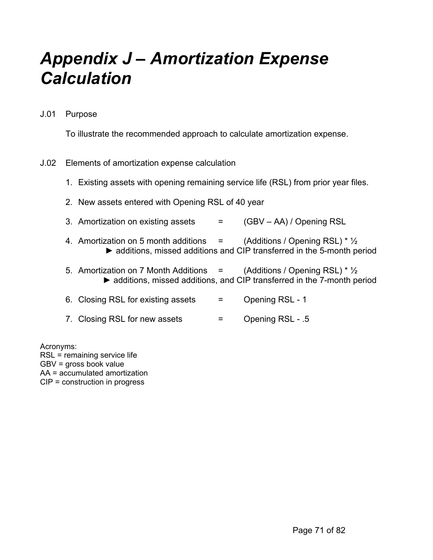## *Appendix J – Amortization Expense Calculation*

J.01 Purpose

To illustrate the recommended approach to calculate amortization expense.

## J.02 Elements of amortization expense calculation

- 1. Existing assets with opening remaining service life (RSL) from prior year files.
- 2. New assets entered with Opening RSL of 40 year
- 3. Amortization on existing assets  $=$   $(GBV AA)/$  Opening RSL
- 4. Amortization on 5 month additions  $=$  (Additions / Opening RSL)  $*$   $\frac{1}{2}$ ► additions, missed additions and CIP transferred in the 5-month period
- 5. Amortization on 7 Month Additions  $=$  (Additions / Opening RSL)  $* \frac{1}{2}$ ► additions, missed additions, and CIP transferred in the 7-month period
- 6. Closing RSL for existing assets = Opening RSL 1
- 7. Closing RSL for new assets  $=$  Opening RSL .5

Acronyms: RSL = remaining service life GBV = gross book value AA = accumulated amortization CIP = construction in progress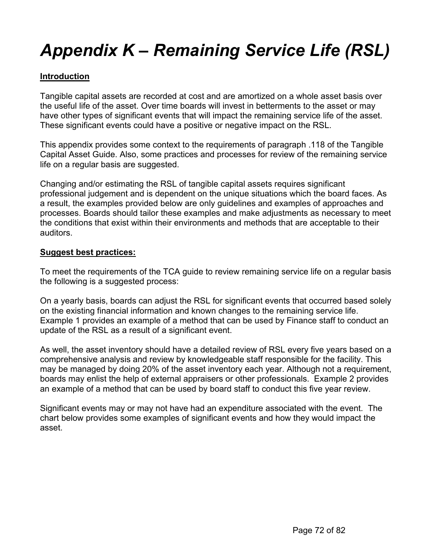## *Appendix K – Remaining Service Life (RSL)*

## **Introduction**

Tangible capital assets are recorded at cost and are amortized on a whole asset basis over the useful life of the asset. Over time boards will invest in betterments to the asset or may have other types of significant events that will impact the remaining service life of the asset. These significant events could have a positive or negative impact on the RSL.

This appendix provides some context to the requirements of paragraph .118 of the Tangible Capital Asset Guide. Also, some practices and processes for review of the remaining service life on a regular basis are suggested.

Changing and/or estimating the RSL of tangible capital assets requires significant professional judgement and is dependent on the unique situations which the board faces. As a result, the examples provided below are only guidelines and examples of approaches and processes. Boards should tailor these examples and make adjustments as necessary to meet the conditions that exist within their environments and methods that are acceptable to their auditors.

### **Suggest best practices:**

To meet the requirements of the TCA guide to review remaining service life on a regular basis the following is a suggested process:

On a yearly basis, boards can adjust the RSL for significant events that occurred based solely on the existing financial information and known changes to the remaining service life. Example 1 provides an example of a method that can be used by Finance staff to conduct an update of the RSL as a result of a significant event.

As well, the asset inventory should have a detailed review of RSL every five years based on a comprehensive analysis and review by knowledgeable staff responsible for the facility. This may be managed by doing 20% of the asset inventory each year. Although not a requirement, boards may enlist the help of external appraisers or other professionals. Example 2 provides an example of a method that can be used by board staff to conduct this five year review.

Significant events may or may not have had an expenditure associated with the event. The chart below provides some examples of significant events and how they would impact the asset.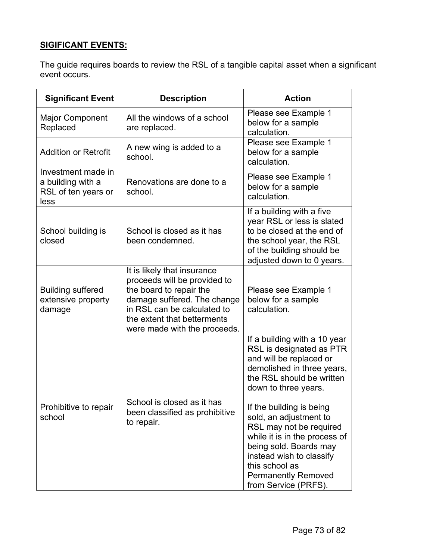## **SIGIFICANT EVENTS:**

The guide requires boards to review the RSL of a tangible capital asset when a significant event occurs.

| <b>Significant Event</b>                                               | <b>Description</b>                                                                                                                                                                                                  | <b>Action</b>                                                                                                                                                                                                                                |  |  |
|------------------------------------------------------------------------|---------------------------------------------------------------------------------------------------------------------------------------------------------------------------------------------------------------------|----------------------------------------------------------------------------------------------------------------------------------------------------------------------------------------------------------------------------------------------|--|--|
| <b>Major Component</b><br>Replaced                                     | All the windows of a school<br>are replaced.                                                                                                                                                                        | Please see Example 1<br>below for a sample<br>calculation.                                                                                                                                                                                   |  |  |
| <b>Addition or Retrofit</b>                                            | A new wing is added to a<br>school.                                                                                                                                                                                 | Please see Example 1<br>below for a sample<br>calculation.                                                                                                                                                                                   |  |  |
| Investment made in<br>a building with a<br>RSL of ten years or<br>less | Renovations are done to a<br>school.                                                                                                                                                                                | Please see Example 1<br>below for a sample<br>calculation.                                                                                                                                                                                   |  |  |
| School building is<br>closed                                           | School is closed as it has<br>been condemned.                                                                                                                                                                       | If a building with a five<br>year RSL or less is slated<br>to be closed at the end of<br>the school year, the RSL<br>of the building should be<br>adjusted down to 0 years.                                                                  |  |  |
| <b>Building suffered</b><br>extensive property<br>damage               | It is likely that insurance<br>proceeds will be provided to<br>the board to repair the<br>damage suffered. The change<br>in RSL can be calculated to<br>the extent that betterments<br>were made with the proceeds. | Please see Example 1<br>below for a sample<br>calculation.                                                                                                                                                                                   |  |  |
|                                                                        |                                                                                                                                                                                                                     | If a building with a 10 year<br>RSL is designated as PTR<br>and will be replaced or<br>demolished in three years,<br>the RSL should be written<br>down to three years.                                                                       |  |  |
| Prohibitive to repair<br>school                                        | School is closed as it has<br>been classified as prohibitive<br>to repair.                                                                                                                                          | If the building is being<br>sold, an adjustment to<br>RSL may not be required<br>while it is in the process of<br>being sold. Boards may<br>instead wish to classify<br>this school as<br><b>Permanently Removed</b><br>from Service (PRFS). |  |  |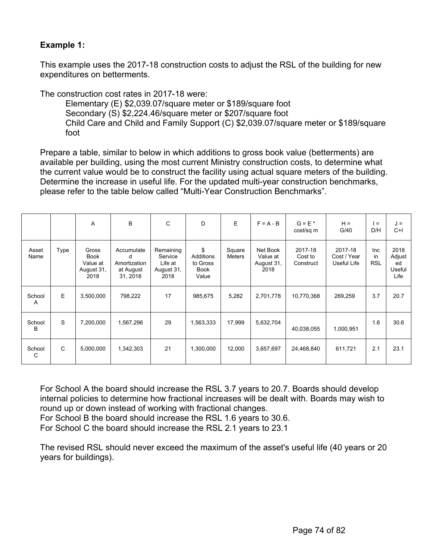#### **Example 1:**

This example uses the 2017-18 construction costs to adjust the RSL of the building for new expenditures on betterments.

The construction cost rates in 2017-18 were:

Elementary (E) \$2,039.07/square meter or \$189/square foot Secondary (S) \$2,224.46/square meter or \$207/square foot Child Care and Child and Family Support (C) \$2,039.07/square meter or \$189/square foot

Prepare a table, similar to below in which additions to gross book value (betterments) are available per building, using the most current Ministry construction costs, to determine what the current value would be to construct the facility using actual square meters of the building. Determine the increase in useful life. For the updated multi-year construction benchmarks, please refer to the table below called "Multi-Year Construction Benchmarks".

|               |      | A                                                      | B                                                        | C                                                     | D                                                   | E.                      | $F = A - B$                                | $G = E^*$<br>cost/sq m          | $H =$<br>G/40                         | l =<br>D/H                     | J =<br>$C+$                            |
|---------------|------|--------------------------------------------------------|----------------------------------------------------------|-------------------------------------------------------|-----------------------------------------------------|-------------------------|--------------------------------------------|---------------------------------|---------------------------------------|--------------------------------|----------------------------------------|
| Asset<br>Name | Type | Gross<br><b>Book</b><br>Value at<br>August 31,<br>2018 | Accumulate<br>d<br>Amortization<br>at August<br>31, 2018 | Remaining<br>Service<br>Life at<br>August 31,<br>2018 | \$<br>Additions<br>to Gross<br><b>Book</b><br>Value | Square<br><b>Meters</b> | Net Book<br>Value at<br>August 31,<br>2018 | 2017-18<br>Cost to<br>Construct | 2017-18<br>Cost / Year<br>Useful Life | <b>Inc</b><br>in<br><b>RSL</b> | 2018<br>Adjust<br>ed<br>Useful<br>Life |
| School<br>A   | E    | 3,500,000                                              | 798,222                                                  | 17                                                    | 985,675                                             | 5,282                   | 2,701,778                                  | 10,770,368                      | 269,259                               | 3.7                            | 20.7                                   |
| School<br>B   | S    | 7,200,000                                              | 1,567,296                                                | 29                                                    | 1,563,333                                           | 17,999                  | 5,632,704                                  | 40,038,055                      | 1,000,951                             | 1.6                            | 30.6                                   |
| School<br>C   | C    | 5,000,000                                              | 1,342,303                                                | 21                                                    | 1,300,000                                           | 12,000                  | 3,657,697                                  | 24,468,840                      | 611,721                               | 2.1                            | 23.1                                   |

For School A the board should increase the RSL 3.7 years to 20.7. Boards should develop internal policies to determine how fractional increases will be dealt with. Boards may wish to round up or down instead of working with fractional changes.

For School B the board should increase the RSL 1.6 years to 30.6.

For School C the board should increase the RSL 2.1 years to 23.1

The revised RSL should never exceed the maximum of the asset's useful life (40 years or 20 years for buildings).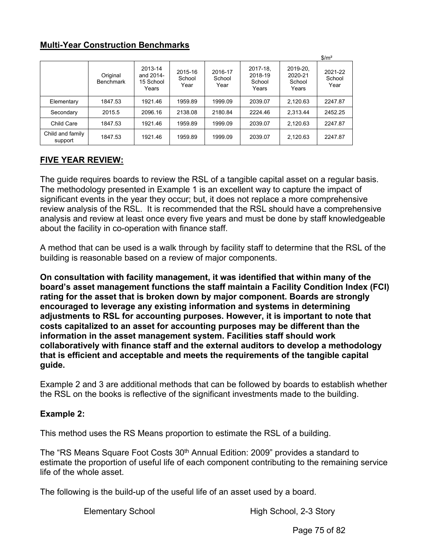## **Multi-Year Construction Benchmarks**

|                             |                              |                                            |                           |                           |                                        |                                        | $\frac{m^2}{2}$           |
|-----------------------------|------------------------------|--------------------------------------------|---------------------------|---------------------------|----------------------------------------|----------------------------------------|---------------------------|
|                             | Original<br><b>Benchmark</b> | 2013-14<br>and 2014-<br>15 School<br>Years | 2015-16<br>School<br>Year | 2016-17<br>School<br>Year | 2017-18.<br>2018-19<br>School<br>Years | 2019-20.<br>2020-21<br>School<br>Years | 2021-22<br>School<br>Year |
| Elementary                  | 1847.53                      | 1921.46                                    | 1959.89                   | 1999.09                   | 2039.07                                | 2.120.63                               | 2247.87                   |
| Secondary                   | 2015.5                       | 2096.16                                    | 2138.08                   | 2180.84                   | 2224.46                                | 2.313.44                               | 2452.25                   |
| Child Care                  | 1847.53                      | 1921.46                                    | 1959.89                   | 1999.09                   | 2039.07                                | 2.120.63                               | 2247.87                   |
| Child and family<br>support | 1847.53                      | 1921.46                                    | 1959.89                   | 1999.09                   | 2039.07                                | 2,120.63                               | 2247.87                   |

# **FIVE YEAR REVIEW:**

The guide requires boards to review the RSL of a tangible capital asset on a regular basis. The methodology presented in Example 1 is an excellent way to capture the impact of significant events in the year they occur; but, it does not replace a more comprehensive review analysis of the RSL. It is recommended that the RSL should have a comprehensive analysis and review at least once every five years and must be done by staff knowledgeable about the facility in co-operation with finance staff.

A method that can be used is a walk through by facility staff to determine that the RSL of the building is reasonable based on a review of major components.

**On consultation with facility management, it was identified that within many of the board's asset management functions the staff maintain a Facility Condition Index (FCI) rating for the asset that is broken down by major component. Boards are strongly encouraged to leverage any existing information and systems in determining adjustments to RSL for accounting purposes. However, it is important to note that costs capitalized to an asset for accounting purposes may be different than the information in the asset management system. Facilities staff should work collaboratively with finance staff and the external auditors to develop a methodology that is efficient and acceptable and meets the requirements of the tangible capital guide.**

Example 2 and 3 are additional methods that can be followed by boards to establish whether the RSL on the books is reflective of the significant investments made to the building.

#### **Example 2:**

This method uses the RS Means proportion to estimate the RSL of a building.

The "RS Means Square Foot Costs 30<sup>th</sup> Annual Edition: 2009" provides a standard to estimate the proportion of useful life of each component contributing to the remaining service life of the whole asset.

The following is the build-up of the useful life of an asset used by a board.

Elementary School **Elementary School**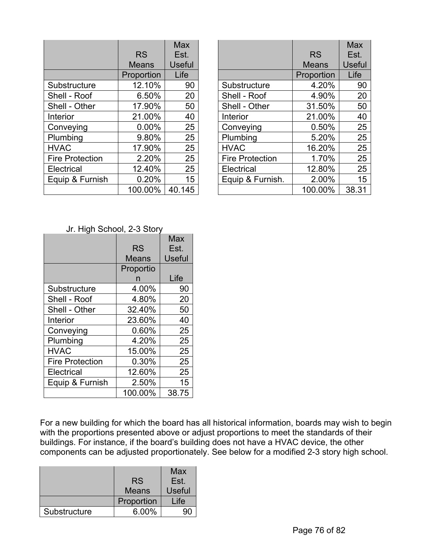|                        |              | Max    |
|------------------------|--------------|--------|
|                        | <b>RS</b>    | Est.   |
|                        | <b>Means</b> | Useful |
|                        | Proportion   | Life   |
| Substructure           | 12.10%       | 90     |
| Shell - Roof           | 6.50%        | 20     |
| Shell - Other          | 17.90%       | 50     |
| Interior               | 21.00%       | 40     |
| Conveying              | 0.00%        | 25     |
| Plumbing               | 9.80%        | 25     |
| <b>HVAC</b>            | 17.90%       | 25     |
| <b>Fire Protection</b> | 2.20%        | 25     |
| Electrical             | 12.40%       | 25     |
| Equip & Furnish        | 0.20%        | 15     |
|                        | 100.00%      | 40.145 |

|                        | <b>RS</b>    | Max<br>Est.   |
|------------------------|--------------|---------------|
|                        | <b>Means</b> | <b>Useful</b> |
|                        | Proportion   | Life          |
| Substructure           | 4.20%        | 90            |
| Shell - Roof           | 4.90%        | 20            |
| Shell - Other          | 31.50%       | 50            |
| Interior               | 21.00%       | 40            |
| Conveying              | 0.50%        | 25            |
| Plumbing               | 5.20%        | 25            |
| <b>HVAC</b>            | 16.20%       | 25            |
| <b>Fire Protection</b> | 1.70%        | 25            |
| Electrical             | 12.80%       | 25            |
| Equip & Furnish.       | 2.00%        | 15            |
|                        | 100.00%      | 38.31         |

Jr. High School, 2-3 Story

|                        |           | Max           |
|------------------------|-----------|---------------|
|                        | <b>RS</b> | Est.          |
|                        | Means     | <b>Useful</b> |
|                        | Proportio |               |
|                        | n         | Life          |
| Substructure           | 4.00%     | 90            |
| Shell - Roof           | 4.80%     | 20            |
| Shell - Other          | 32.40%    | 50            |
| Interior               | 23.60%    | 40            |
| Conveying              | 0.60%     | 25            |
| Plumbing               | 4.20%     | 25            |
| <b>HVAC</b>            | 15.00%    | 25            |
| <b>Fire Protection</b> | 0.30%     | 25            |
| Electrical             | 12.60%    | 25            |
| Equip & Furnish        | 2.50%     | 15            |
|                        | 100.00%   | 38.75         |

For a new building for which the board has all historical information, boards may wish to begin with the proportions presented above or adjust proportions to meet the standards of their buildings. For instance, if the board's building does not have a HVAC device, the other components can be adjusted proportionately. See below for a modified 2-3 story high school.

|              |              | Max           |
|--------------|--------------|---------------|
|              | <b>RS</b>    | Est.          |
|              | <b>Means</b> | <b>Useful</b> |
|              | Proportion   | Life          |
| Substructure | 6.00%        |               |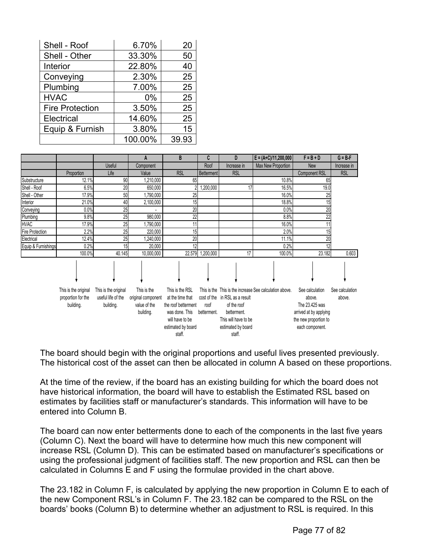| Shell - Roof           | 6.70%   | 20    |
|------------------------|---------|-------|
| Shell - Other          | 33.30%  | 50    |
| <b>Interior</b>        | 22.80%  | 40    |
| Conveying              | 2.30%   | 25    |
| Plumbing               | 7.00%   | 25    |
| <b>HVAC</b>            | 0%      | 25    |
| <b>Fire Protection</b> | 3.50%   | 25    |
| Electrical             | 14.60%  | 25    |
| Equip & Furnish        | 3.80%   | 15    |
|                        | 100.00% | 39.93 |

|                        |                                                         |                                                         | A                                                              | B                                                                                                                               | C                   | D                                                                                                                    | $E = (A+C)/11,200,000$                                  | $F = B + D$                                                                                                       | $G = B - F$               |
|------------------------|---------------------------------------------------------|---------------------------------------------------------|----------------------------------------------------------------|---------------------------------------------------------------------------------------------------------------------------------|---------------------|----------------------------------------------------------------------------------------------------------------------|---------------------------------------------------------|-------------------------------------------------------------------------------------------------------------------|---------------------------|
|                        |                                                         | <b>Useful</b>                                           | Component                                                      |                                                                                                                                 | Roof                | Increase in                                                                                                          | Max New Proportion                                      | <b>New</b>                                                                                                        | Increase in               |
|                        | Proportion                                              | Life                                                    | Value                                                          | <b>RSL</b>                                                                                                                      | Betterment          | <b>RSL</b>                                                                                                           |                                                         | <b>Component RSL</b>                                                                                              | <b>RSL</b>                |
| Substructure           | 12.1%                                                   | 90                                                      | 1,210,000                                                      | 65                                                                                                                              |                     |                                                                                                                      | 10.8%                                                   | 65                                                                                                                |                           |
| Shell - Roof           | 6.5%                                                    | 20                                                      | 650,000                                                        |                                                                                                                                 | 1,200,000           | 17                                                                                                                   | 16.5%                                                   | 19.0                                                                                                              |                           |
| Shell - Other          | 17.9%                                                   | 50                                                      | 1,790,000                                                      | 25                                                                                                                              |                     |                                                                                                                      | 16.0%                                                   | 25                                                                                                                |                           |
| Interior               | 21.0%                                                   | 40                                                      | 2,100,000                                                      | 15                                                                                                                              |                     |                                                                                                                      | 18.8%                                                   | 15                                                                                                                |                           |
| Conveying              | 0.0%                                                    | 25                                                      |                                                                | 20                                                                                                                              |                     |                                                                                                                      | 0.0%                                                    | 20                                                                                                                |                           |
| Plumbing               | 9.8%                                                    | 25                                                      | 980,000                                                        | 22                                                                                                                              |                     |                                                                                                                      | 8.8%                                                    | $\overline{22}$                                                                                                   |                           |
| <b>HVAC</b>            | 17.9%                                                   | 25                                                      | 1,790,000                                                      | 11                                                                                                                              |                     |                                                                                                                      | 16.0%                                                   | 11                                                                                                                |                           |
| <b>Fire Protection</b> | 2.2%                                                    | 25                                                      | 220,000                                                        | 15                                                                                                                              |                     |                                                                                                                      | 2.0%                                                    | 15                                                                                                                |                           |
| Electrical             | 12.4%                                                   | 25                                                      | ,240,000                                                       | 20                                                                                                                              |                     |                                                                                                                      | 11.1%                                                   | 20                                                                                                                |                           |
| Equip & Furnishings    | 0.2%                                                    | 15                                                      | 20,000                                                         | 12                                                                                                                              |                     |                                                                                                                      | 0.2%                                                    | 12                                                                                                                |                           |
|                        | 100.0%                                                  | 40.145                                                  | 10,000,000                                                     | 22.579                                                                                                                          | 1,200,000           | 17                                                                                                                   | 100.0%                                                  | 23.182                                                                                                            | 0.603                     |
|                        |                                                         |                                                         |                                                                |                                                                                                                                 |                     |                                                                                                                      |                                                         |                                                                                                                   |                           |
|                        | This is the original<br>proportion for the<br>building. | This is the original<br>useful life of the<br>building. | This is the<br>original component<br>value of the<br>building. | This is the RSL<br>at the time that<br>the roof betterment<br>was done. This<br>will have to be<br>estimated by board<br>staff. | roof<br>betterment. | cost of the in RSL as a result<br>of the roof<br>betterment.<br>This will have to be<br>estimated by board<br>staff. | This is the This is the increase See calculation above. | See calculation<br>above.<br>The 23.425 was<br>arrived at by applying<br>the new proportion to<br>each component. | See calculation<br>above. |

The board should begin with the original proportions and useful lives presented previously. The historical cost of the asset can then be allocated in column A based on these proportions.

At the time of the review, if the board has an existing building for which the board does not have historical information, the board will have to establish the Estimated RSL based on estimates by facilities staff or manufacturer's standards. This information will have to be entered into Column B.

The board can now enter betterments done to each of the components in the last five years (Column C). Next the board will have to determine how much this new component will increase RSL (Column D). This can be estimated based on manufacturer's specifications or using the professional judgment of facilities staff. The new proportion and RSL can then be calculated in Columns E and F using the formulae provided in the chart above.

The 23.182 in Column F, is calculated by applying the new proportion in Column E to each of the new Component RSL's in Column F. The 23.182 can be compared to the RSL on the boards' books (Column B) to determine whether an adjustment to RSL is required. In this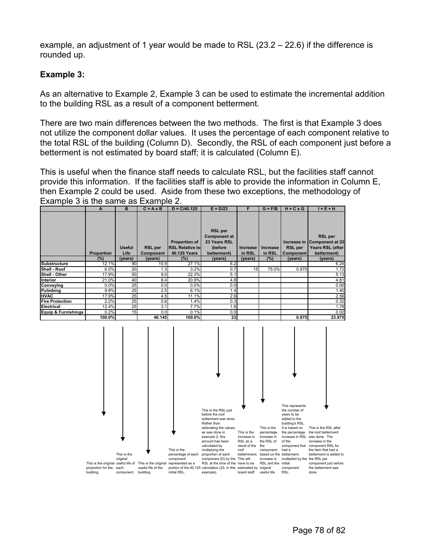example, an adjustment of 1 year would be made to RSL (23.2 – 22.6) if the difference is rounded up.

#### **Example 3:**

As an alternative to Example 2, Example 3 can be used to estimate the incremental addition to the building RSL as a result of a component betterment.

There are two main differences between the two methods. The first is that Example 3 does not utilize the component dollar values. It uses the percentage of each component relative to the total RSL of the building (Column D). Secondly, the RSL of each component just before a betterment is not estimated by board staff; it is calculated (Column E).

This is useful when the finance staff needs to calculate RSL, but the facilities staff cannot provide this information. If the facilities staff is able to provide the information in Column E, then Example 2 could be used. Aside from these two exceptions, the methodology of Example 3 is the same as Example 2.

|                        | A                 | в                     | $C = A \times B$            | $D = C/40.125$                                                 | $E = D/23$                                                                      |                    | $G = F/B$          | $H = C \times G$                   | $I = E + H$                                                                      |
|------------------------|-------------------|-----------------------|-----------------------------|----------------------------------------------------------------|---------------------------------------------------------------------------------|--------------------|--------------------|------------------------------------|----------------------------------------------------------------------------------|
|                        | <b>Proportion</b> | <b>Useful</b><br>Life | <b>RSL</b> per<br>Component | <b>Proportion of</b><br><b>RSL Relative to</b><br>40.125 Years | <b>RSL</b> per<br><b>Component at</b><br>23 Years RSL<br>(before<br>betterment) | Increase<br>in RSL | Increase<br>in RSL | <b>RSL</b> per<br><b>Component</b> | <b>RSL</b> per<br>Increase in Component at 23<br>Years RSL (after<br>betterment) |
| Substructure           | (%)<br>12.1%      | (years)<br>90         | (years)<br>10.9             | (%)<br>27.1%                                                   | (years)<br>6.2                                                                  | (years)            | (%)                | (years)                            | (years)<br>6.24                                                                  |
| Shell - Roof           | 6.5%              | 20                    | 1.3                         | 3.2%                                                           | 0.7                                                                             | 15                 | 75.0%              | 0.975                              | 1.72                                                                             |
| Shell - Other          | 17.9%             | 50                    | 9.0                         | 22.3%                                                          | 5.1                                                                             |                    |                    |                                    | 5.13                                                                             |
|                        |                   |                       |                             |                                                                |                                                                                 |                    |                    |                                    |                                                                                  |
| Interior               | 21.0%             | 40                    | 8.4                         | 20.9%                                                          | 4.8                                                                             |                    |                    |                                    | 4.81                                                                             |
| Conveying              | 0.0%              | 25                    | 0.0                         | 0.0%                                                           | 0.0                                                                             |                    |                    |                                    | 0.00                                                                             |
| Pulmbing               | 9.8%              | 25                    | 2.5                         | 6.1%                                                           | 1.4                                                                             |                    |                    |                                    | 1.40                                                                             |
| <b>HVAC</b>            | 17.9%             | 25                    | 4.5                         | 11.1%                                                          | 2.6                                                                             |                    |                    |                                    | 2.56                                                                             |
| <b>Fire Protection</b> | 2.2%              | 25                    | 0.6                         | 1.4%                                                           | 0.3                                                                             |                    |                    |                                    | 0.32                                                                             |
| <b>Electrical</b>      | 12.4%             | 25                    | 3.1                         | 7.7%                                                           | 1.8                                                                             |                    |                    |                                    | 1.78                                                                             |
| Equip & Furnishings    | 0.2%              | 15                    | 0.0                         | 0.1%                                                           | 0.0                                                                             |                    |                    |                                    | 0.02                                                                             |
|                        | 400.00/           |                       | 40.44E                      | 400.00/                                                        | na l                                                                            |                    |                    | 0.25                               | <b>22.07E</b>                                                                    |

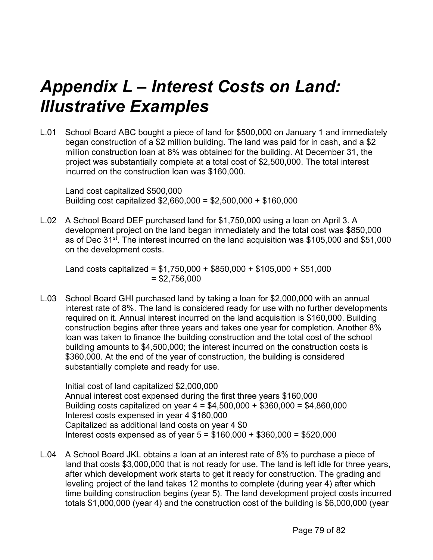# *Appendix L – Interest Costs on Land: Illustrative Examples*

L.01 School Board ABC bought a piece of land for \$500,000 on January 1 and immediately began construction of a \$2 million building. The land was paid for in cash, and a \$2 million construction loan at 8% was obtained for the building. At December 31, the project was substantially complete at a total cost of \$2,500,000. The total interest incurred on the construction loan was \$160,000.

Land cost capitalized \$500,000 Building cost capitalized \$2,660,000 = \$2,500,000 + \$160,000

L.02 A School Board DEF purchased land for \$1,750,000 using a loan on April 3. A development project on the land began immediately and the total cost was \$850,000 as of Dec 31st. The interest incurred on the land acquisition was \$105,000 and \$51,000 on the development costs.

Land costs capitalized =  $$1,750,000 + $850,000 + $105,000 + $51,000$  $= $2,756,000$ 

L.03 School Board GHI purchased land by taking a loan for \$2,000,000 with an annual interest rate of 8%. The land is considered ready for use with no further developments required on it. Annual interest incurred on the land acquisition is \$160,000. Building construction begins after three years and takes one year for completion. Another 8% loan was taken to finance the building construction and the total cost of the school building amounts to \$4,500,000; the interest incurred on the construction costs is \$360,000. At the end of the year of construction, the building is considered substantially complete and ready for use.

Initial cost of land capitalized \$2,000,000 Annual interest cost expensed during the first three years \$160,000 Building costs capitalized on year 4 = \$4,500,000 + \$360,000 = \$4,860,000 Interest costs expensed in year 4 \$160,000 Capitalized as additional land costs on year 4 \$0 Interest costs expensed as of year  $5 = $160,000 + $360,000 = $520,000$ 

L.04 A School Board JKL obtains a loan at an interest rate of 8% to purchase a piece of land that costs \$3,000,000 that is not ready for use. The land is left idle for three years, after which development work starts to get it ready for construction. The grading and leveling project of the land takes 12 months to complete (during year 4) after which time building construction begins (year 5). The land development project costs incurred totals \$1,000,000 (year 4) and the construction cost of the building is \$6,000,000 (year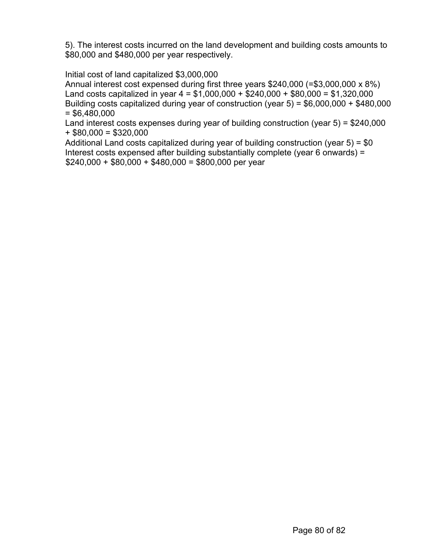5). The interest costs incurred on the land development and building costs amounts to \$80,000 and \$480,000 per year respectively.

#### Initial cost of land capitalized \$3,000,000

Annual interest cost expensed during first three years \$240,000 (=\$3,000,000 x 8%) Land costs capitalized in year  $4 = $1,000,000 + $240,000 + $80,000 = $1,320,000$ Building costs capitalized during year of construction (year 5) = \$6,000,000 + \$480,000  $= $6,480,000$ 

Land interest costs expenses during year of building construction (year 5) = \$240,000  $+$  \$80,000 = \$320,000

Additional Land costs capitalized during year of building construction (year 5) = \$0 Interest costs expensed after building substantially complete (year 6 onwards) =  $$240,000 + $80,000 + $480,000 = $800,000$  per year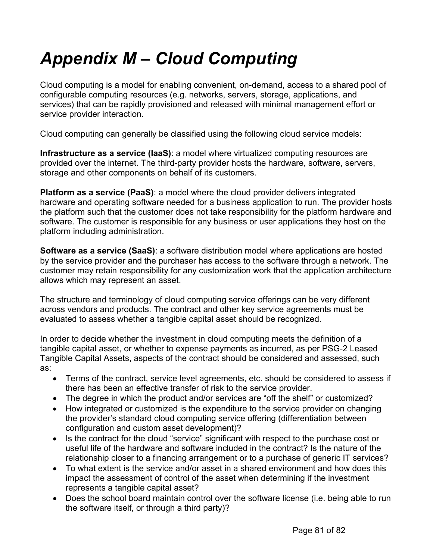# *Appendix M – Cloud Computing*

Cloud computing is a model for enabling convenient, on-demand, access to a shared pool of configurable computing resources (e.g. networks, servers, storage, applications, and services) that can be rapidly provisioned and released with minimal management effort or service provider interaction.

Cloud computing can generally be classified using the following cloud service models:

**Infrastructure as a service (IaaS)**: a model where virtualized computing resources are provided over the internet. The third-party provider hosts the hardware, software, servers, storage and other components on behalf of its customers.

**Platform as a service (PaaS)**: a model where the cloud provider delivers integrated hardware and operating software needed for a business application to run. The provider hosts the platform such that the customer does not take responsibility for the platform hardware and software. The customer is responsible for any business or user applications they host on the platform including administration.

**Software as a service (SaaS)**: a software distribution model where applications are hosted by the service provider and the purchaser has access to the software through a network. The customer may retain responsibility for any customization work that the application architecture allows which may represent an asset.

The structure and terminology of cloud computing service offerings can be very different across vendors and products. The contract and other key service agreements must be evaluated to assess whether a tangible capital asset should be recognized.

In order to decide whether the investment in cloud computing meets the definition of a tangible capital asset, or whether to expense payments as incurred, as per PSG-2 Leased Tangible Capital Assets, aspects of the contract should be considered and assessed, such as:

- Terms of the contract, service level agreements, etc. should be considered to assess if there has been an effective transfer of risk to the service provider.
- The degree in which the product and/or services are "off the shelf" or customized?
- How integrated or customized is the expenditure to the service provider on changing the provider's standard cloud computing service offering (differentiation between configuration and custom asset development)?
- Is the contract for the cloud "service" significant with respect to the purchase cost or useful life of the hardware and software included in the contract? Is the nature of the relationship closer to a financing arrangement or to a purchase of generic IT services?
- To what extent is the service and/or asset in a shared environment and how does this impact the assessment of control of the asset when determining if the investment represents a tangible capital asset?
- Does the school board maintain control over the software license (i.e. being able to run the software itself, or through a third party)?